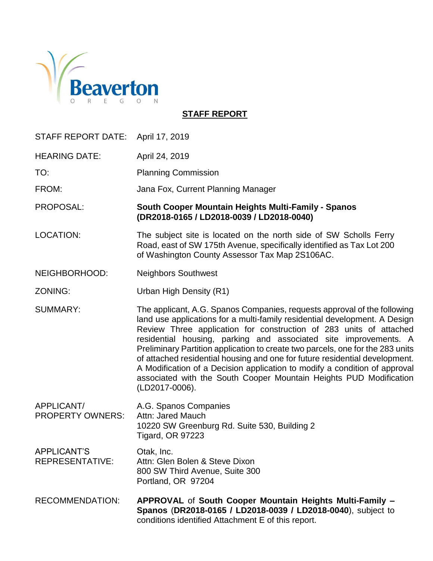

**STAFF REPORT**

| STAFF REPORT DATE: April 17, 2019     |                                                                                                                                                                                                                                                                                                                                                                                                                                                                                                                                                                                                                                         |
|---------------------------------------|-----------------------------------------------------------------------------------------------------------------------------------------------------------------------------------------------------------------------------------------------------------------------------------------------------------------------------------------------------------------------------------------------------------------------------------------------------------------------------------------------------------------------------------------------------------------------------------------------------------------------------------------|
| <b>HEARING DATE:</b>                  | April 24, 2019                                                                                                                                                                                                                                                                                                                                                                                                                                                                                                                                                                                                                          |
| TO:                                   | <b>Planning Commission</b>                                                                                                                                                                                                                                                                                                                                                                                                                                                                                                                                                                                                              |
| FROM:                                 | Jana Fox, Current Planning Manager                                                                                                                                                                                                                                                                                                                                                                                                                                                                                                                                                                                                      |
| PROPOSAL:                             | South Cooper Mountain Heights Multi-Family - Spanos<br>(DR2018-0165 / LD2018-0039 / LD2018-0040)                                                                                                                                                                                                                                                                                                                                                                                                                                                                                                                                        |
| <b>LOCATION:</b>                      | The subject site is located on the north side of SW Scholls Ferry<br>Road, east of SW 175th Avenue, specifically identified as Tax Lot 200<br>of Washington County Assessor Tax Map 2S106AC.                                                                                                                                                                                                                                                                                                                                                                                                                                            |
| NEIGHBORHOOD:                         | <b>Neighbors Southwest</b>                                                                                                                                                                                                                                                                                                                                                                                                                                                                                                                                                                                                              |
| ZONING:                               | Urban High Density (R1)                                                                                                                                                                                                                                                                                                                                                                                                                                                                                                                                                                                                                 |
| <b>SUMMARY:</b>                       | The applicant, A.G. Spanos Companies, requests approval of the following<br>land use applications for a multi-family residential development. A Design<br>Review Three application for construction of 283 units of attached<br>residential housing, parking and associated site improvements. A<br>Preliminary Partition application to create two parcels, one for the 283 units<br>of attached residential housing and one for future residential development.<br>A Modification of a Decision application to modify a condition of approval<br>associated with the South Cooper Mountain Heights PUD Modification<br>(LD2017-0006). |
| APPLICANT/<br><b>PROPERTY OWNERS:</b> | A.G. Spanos Companies<br>Attn: Jared Mauch<br>10220 SW Greenburg Rd. Suite 530, Building 2<br><b>Tigard, OR 97223</b>                                                                                                                                                                                                                                                                                                                                                                                                                                                                                                                   |
| <b>APPLICANT'S</b><br>REPRESENTATIVE: | Otak, Inc.<br>Attn: Glen Bolen & Steve Dixon<br>800 SW Third Avenue, Suite 300<br>Portland, OR 97204                                                                                                                                                                                                                                                                                                                                                                                                                                                                                                                                    |
| <b>RECOMMENDATION:</b>                | APPROVAL of South Cooper Mountain Heights Multi-Family -<br>Spanos (DR2018-0165 / LD2018-0039 / LD2018-0040), subject to<br>conditions identified Attachment E of this report.                                                                                                                                                                                                                                                                                                                                                                                                                                                          |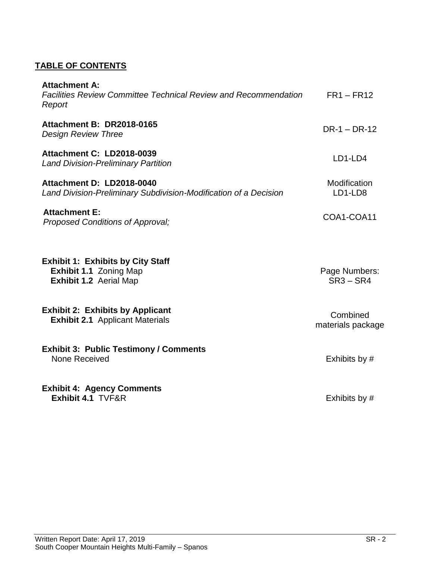## **TABLE OF CONTENTS**

| <b>Attachment A:</b><br><b>Facilities Review Committee Technical Review and Recommendation</b><br>Report | $FR1 - FR12$                  |
|----------------------------------------------------------------------------------------------------------|-------------------------------|
| Attachment B: DR2018-0165<br><b>Design Review Three</b>                                                  | $DR-1 - DR-12$                |
| <b>Attachment C: LD2018-0039</b><br><b>Land Division-Preliminary Partition</b>                           | LD1-LD4                       |
| Attachment D: LD2018-0040<br>Land Division-Preliminary Subdivision-Modification of a Decision            | Modification<br>LD1-LD8       |
| <b>Attachment E:</b><br>Proposed Conditions of Approval;                                                 | COA1-COA11                    |
| <b>Exhibit 1: Exhibits by City Staff</b><br><b>Exhibit 1.1 Zoning Map</b><br>Exhibit 1.2 Aerial Map      | Page Numbers:<br>$SR3 - SR4$  |
| <b>Exhibit 2: Exhibits by Applicant</b><br><b>Exhibit 2.1</b> Applicant Materials                        | Combined<br>materials package |
| <b>Exhibit 3: Public Testimony / Comments</b><br>None Received                                           | Exhibits by #                 |
| <b>Exhibit 4: Agency Comments</b><br>Exhibit 4.1 TVF&R                                                   | Exhibits by #                 |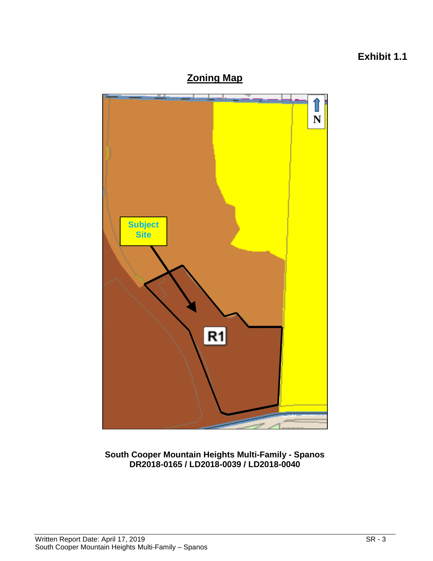# **Exhibit 1.1**





**South Cooper Mountain Heights Multi-Family - Spanos DR2018-0165 / LD2018-0039 / LD2018-0040**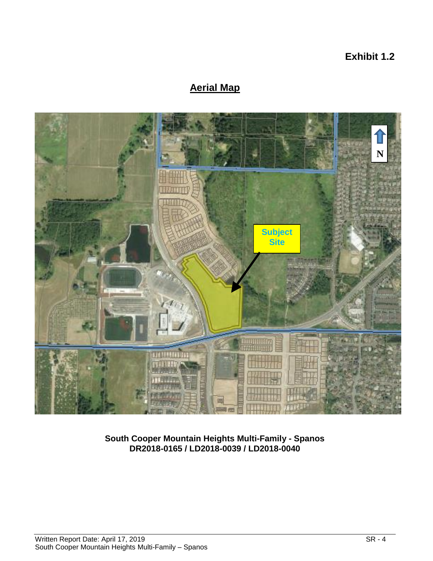**Exhibit 1.2**

# **Aerial Map**



**South Cooper Mountain Heights Multi-Family - Spanos DR2018-0165 / LD2018-0039 / LD2018-0040**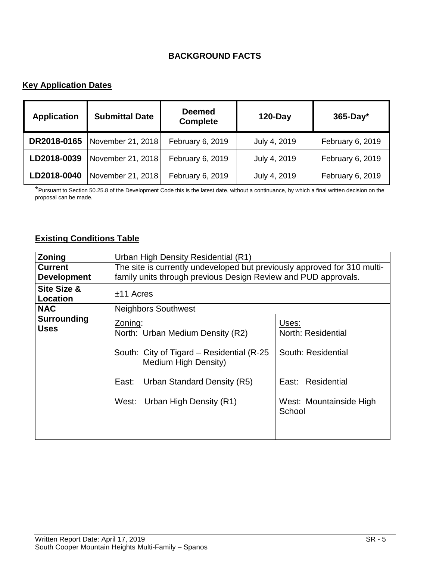## **BACKGROUND FACTS**

## **Key Application Dates**

| <b>Application</b> | <b>Submittal Date</b> | <b>Deemed</b><br><b>Complete</b> | $120$ -Day   | $365$ -Day*      |
|--------------------|-----------------------|----------------------------------|--------------|------------------|
| DR2018-0165        | November 21, 2018     | February 6, 2019                 | July 4, 2019 | February 6, 2019 |
| LD2018-0039        | November 21, 2018     | February 6, 2019                 | July 4, 2019 | February 6, 2019 |
| LD2018-0040        | November 21, 2018     | February 6, 2019                 | July 4, 2019 | February 6, 2019 |

\*Pursuant to Section 50.25.8 of the Development Code this is the latest date, without a continuance, by which a final written decision on the proposal can be made.

## **Existing Conditions Table**

| Zoning                                    | Urban High Density Residential (R1)                                                                                                                                                                                                                                                                       |  |
|-------------------------------------------|-----------------------------------------------------------------------------------------------------------------------------------------------------------------------------------------------------------------------------------------------------------------------------------------------------------|--|
| <b>Current</b>                            | The site is currently undeveloped but previously approved for 310 multi-                                                                                                                                                                                                                                  |  |
| <b>Development</b>                        | family units through previous Design Review and PUD approvals.                                                                                                                                                                                                                                            |  |
| <b>Site Size &amp;</b><br><b>Location</b> | $±11$ Acres                                                                                                                                                                                                                                                                                               |  |
| <b>NAC</b>                                | <b>Neighbors Southwest</b>                                                                                                                                                                                                                                                                                |  |
| <b>Surrounding</b><br><b>Uses</b>         | Uses:<br>Zoning:<br>North: Residential<br>North: Urban Medium Density (R2)<br>South: Residential<br>South: City of Tigard – Residential (R-25)<br>Medium High Density)<br>East: Residential<br>Urban Standard Density (R5)<br>East:<br>West: Urban High Density (R1)<br>West: Mountainside High<br>School |  |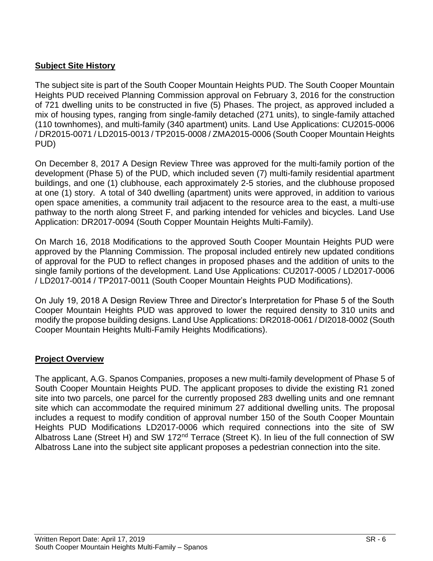## **Subject Site History**

The subject site is part of the South Cooper Mountain Heights PUD. The South Cooper Mountain Heights PUD received Planning Commission approval on February 3, 2016 for the construction of 721 dwelling units to be constructed in five (5) Phases. The project, as approved included a mix of housing types, ranging from single-family detached (271 units), to single-family attached (110 townhomes), and multi-family (340 apartment) units. Land Use Applications: CU2015-0006 / DR2015-0071 / LD2015-0013 / TP2015-0008 / ZMA2015-0006 (South Cooper Mountain Heights PUD)

On December 8, 2017 A Design Review Three was approved for the multi-family portion of the development (Phase 5) of the PUD, which included seven (7) multi-family residential apartment buildings, and one (1) clubhouse, each approximately 2-5 stories, and the clubhouse proposed at one (1) story. A total of 340 dwelling (apartment) units were approved, in addition to various open space amenities, a community trail adjacent to the resource area to the east, a multi-use pathway to the north along Street F, and parking intended for vehicles and bicycles. Land Use Application: DR2017-0094 (South Copper Mountain Heights Multi-Family).

On March 16, 2018 Modifications to the approved South Cooper Mountain Heights PUD were approved by the Planning Commission. The proposal included entirely new updated conditions of approval for the PUD to reflect changes in proposed phases and the addition of units to the single family portions of the development. Land Use Applications: CU2017-0005 / LD2017-0006 / LD2017-0014 / TP2017-0011 (South Cooper Mountain Heights PUD Modifications).

On July 19, 2018 A Design Review Three and Director's Interpretation for Phase 5 of the South Cooper Mountain Heights PUD was approved to lower the required density to 310 units and modify the propose building designs. Land Use Applications: DR2018-0061 / DI2018-0002 (South Cooper Mountain Heights Multi-Family Heights Modifications).

## **Project Overview**

The applicant, A.G. Spanos Companies, proposes a new multi-family development of Phase 5 of South Cooper Mountain Heights PUD. The applicant proposes to divide the existing R1 zoned site into two parcels, one parcel for the currently proposed 283 dwelling units and one remnant site which can accommodate the required minimum 27 additional dwelling units. The proposal includes a request to modify condition of approval number 150 of the South Cooper Mountain Heights PUD Modifications LD2017-0006 which required connections into the site of SW Albatross Lane (Street H) and SW 172nd Terrace (Street K). In lieu of the full connection of SW Albatross Lane into the subject site applicant proposes a pedestrian connection into the site.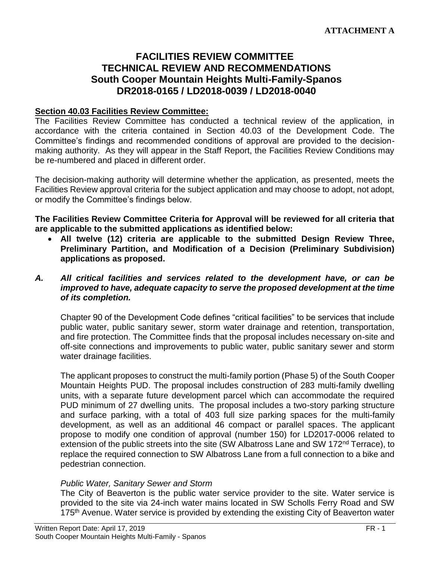# **FACILITIES REVIEW COMMITTEE TECHNICAL REVIEW AND RECOMMENDATIONS South Cooper Mountain Heights Multi-Family-Spanos DR2018-0165 / LD2018-0039 / LD2018-0040**

#### **Section 40.03 Facilities Review Committee:**

The Facilities Review Committee has conducted a technical review of the application, in accordance with the criteria contained in Section 40.03 of the Development Code. The Committee's findings and recommended conditions of approval are provided to the decisionmaking authority. As they will appear in the Staff Report, the Facilities Review Conditions may be re-numbered and placed in different order.

The decision-making authority will determine whether the application, as presented, meets the Facilities Review approval criteria for the subject application and may choose to adopt, not adopt, or modify the Committee's findings below.

**The Facilities Review Committee Criteria for Approval will be reviewed for all criteria that are applicable to the submitted applications as identified below:**

 **All twelve (12) criteria are applicable to the submitted Design Review Three, Preliminary Partition, and Modification of a Decision (Preliminary Subdivision) applications as proposed.**

#### *A. All critical facilities and services related to the development have, or can be improved to have, adequate capacity to serve the proposed development at the time of its completion.*

Chapter 90 of the Development Code defines "critical facilities" to be services that include public water, public sanitary sewer, storm water drainage and retention, transportation, and fire protection. The Committee finds that the proposal includes necessary on-site and off-site connections and improvements to public water, public sanitary sewer and storm water drainage facilities.

The applicant proposes to construct the multi-family portion (Phase 5) of the South Cooper Mountain Heights PUD. The proposal includes construction of 283 multi-family dwelling units, with a separate future development parcel which can accommodate the required PUD minimum of 27 dwelling units. The proposal includes a two-story parking structure and surface parking, with a total of 403 full size parking spaces for the multi-family development, as well as an additional 46 compact or parallel spaces. The applicant propose to modify one condition of approval (number 150) for LD2017-0006 related to extension of the public streets into the site (SW Albatross Lane and SW 172<sup>nd</sup> Terrace), to replace the required connection to SW Albatross Lane from a full connection to a bike and pedestrian connection.

#### *Public Water, Sanitary Sewer and Storm*

The City of Beaverton is the public water service provider to the site. Water service is provided to the site via 24-inch water mains located in SW Scholls Ferry Road and SW 175<sup>th</sup> Avenue. Water service is provided by extending the existing City of Beaverton water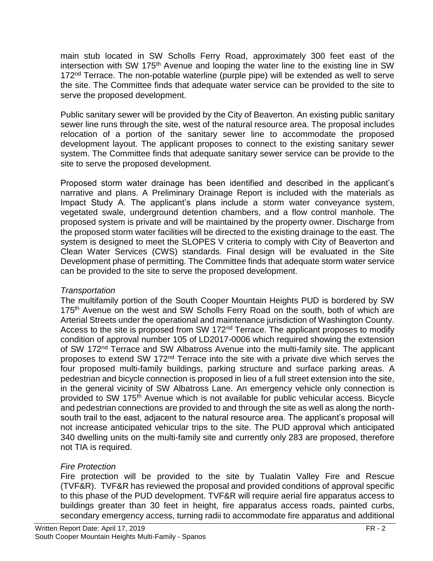main stub located in SW Scholls Ferry Road, approximately 300 feet east of the intersection with SW 175th Avenue and looping the water line to the existing line in SW 172<sup>nd</sup> Terrace. The non-potable waterline (purple pipe) will be extended as well to serve the site. The Committee finds that adequate water service can be provided to the site to serve the proposed development.

Public sanitary sewer will be provided by the City of Beaverton. An existing public sanitary sewer line runs through the site, west of the natural resource area. The proposal includes relocation of a portion of the sanitary sewer line to accommodate the proposed development layout. The applicant proposes to connect to the existing sanitary sewer system. The Committee finds that adequate sanitary sewer service can be provide to the site to serve the proposed development.

Proposed storm water drainage has been identified and described in the applicant's narrative and plans. A Preliminary Drainage Report is included with the materials as Impact Study A. The applicant's plans include a storm water conveyance system, vegetated swale, underground detention chambers, and a flow control manhole. The proposed system is private and will be maintained by the property owner. Discharge from the proposed storm water facilities will be directed to the existing drainage to the east. The system is designed to meet the SLOPES V criteria to comply with City of Beaverton and Clean Water Services (CWS) standards. Final design will be evaluated in the Site Development phase of permitting. The Committee finds that adequate storm water service can be provided to the site to serve the proposed development.

## *Transportation*

The multifamily portion of the South Cooper Mountain Heights PUD is bordered by SW 175<sup>th</sup> Avenue on the west and SW Scholls Ferry Road on the south, both of which are Arterial Streets under the operational and maintenance jurisdiction of Washington County. Access to the site is proposed from SW 172<sup>nd</sup> Terrace. The applicant proposes to modify condition of approval number 105 of LD2017-0006 which required showing the extension of SW 172<sup>nd</sup> Terrace and SW Albatross Avenue into the multi-family site. The applicant proposes to extend SW 172nd Terrace into the site with a private dive which serves the four proposed multi-family buildings, parking structure and surface parking areas. A pedestrian and bicycle connection is proposed in lieu of a full street extension into the site, in the general vicinity of SW Albatross Lane. An emergency vehicle only connection is provided to SW 175<sup>th</sup> Avenue which is not available for public vehicular access. Bicycle and pedestrian connections are provided to and through the site as well as along the northsouth trail to the east, adjacent to the natural resource area. The applicant's proposal will not increase anticipated vehicular trips to the site. The PUD approval which anticipated 340 dwelling units on the multi-family site and currently only 283 are proposed, therefore not TIA is required.

## *Fire Protection*

Fire protection will be provided to the site by Tualatin Valley Fire and Rescue (TVF&R). TVF&R has reviewed the proposal and provided conditions of approval specific to this phase of the PUD development. TVF&R will require aerial fire apparatus access to buildings greater than 30 feet in height, fire apparatus access roads, painted curbs, secondary emergency access, turning radii to accommodate fire apparatus and additional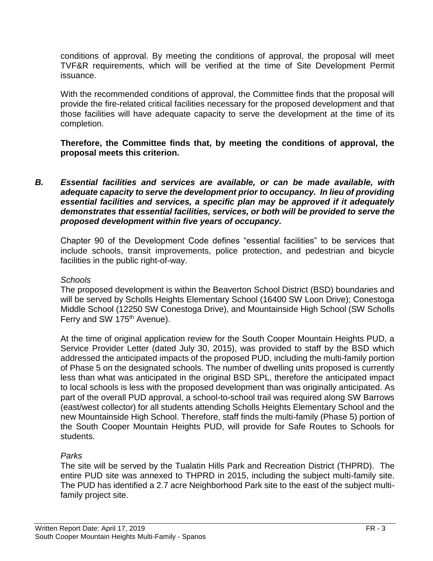conditions of approval. By meeting the conditions of approval, the proposal will meet TVF&R requirements, which will be verified at the time of Site Development Permit issuance.

With the recommended conditions of approval, the Committee finds that the proposal will provide the fire-related critical facilities necessary for the proposed development and that those facilities will have adequate capacity to serve the development at the time of its completion.

**Therefore, the Committee finds that, by meeting the conditions of approval, the proposal meets this criterion.** 

*B. Essential facilities and services are available, or can be made available, with adequate capacity to serve the development prior to occupancy. In lieu of providing essential facilities and services, a specific plan may be approved if it adequately demonstrates that essential facilities, services, or both will be provided to serve the proposed development within five years of occupancy.*

Chapter 90 of the Development Code defines "essential facilities" to be services that include schools, transit improvements, police protection, and pedestrian and bicycle facilities in the public right-of-way.

## *Schools*

The proposed development is within the Beaverton School District (BSD) boundaries and will be served by Scholls Heights Elementary School (16400 SW Loon Drive); Conestoga Middle School (12250 SW Conestoga Drive), and Mountainside High School (SW Scholls Ferry and SW 175<sup>th</sup> Avenue).

At the time of original application review for the South Cooper Mountain Heights PUD, a Service Provider Letter (dated July 30, 2015), was provided to staff by the BSD which addressed the anticipated impacts of the proposed PUD, including the multi-family portion of Phase 5 on the designated schools. The number of dwelling units proposed is currently less than what was anticipated in the original BSD SPL, therefore the anticipated impact to local schools is less with the proposed development than was originally anticipated. As part of the overall PUD approval, a school-to-school trail was required along SW Barrows (east/west collector) for all students attending Scholls Heights Elementary School and the new Mountainside High School. Therefore, staff finds the multi-family (Phase 5) portion of the South Cooper Mountain Heights PUD, will provide for Safe Routes to Schools for students.

## *Parks*

The site will be served by the Tualatin Hills Park and Recreation District (THPRD). The entire PUD site was annexed to THPRD in 2015, including the subject multi-family site. The PUD has identified a 2.7 acre Neighborhood Park site to the east of the subject multifamily project site.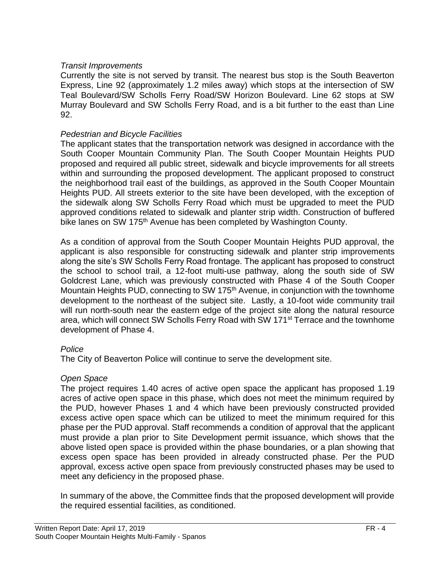## *Transit Improvements*

Currently the site is not served by transit. The nearest bus stop is the South Beaverton Express, Line 92 (approximately 1.2 miles away) which stops at the intersection of SW Teal Boulevard/SW Scholls Ferry Road/SW Horizon Boulevard. Line 62 stops at SW Murray Boulevard and SW Scholls Ferry Road, and is a bit further to the east than Line 92.

#### *Pedestrian and Bicycle Facilities*

The applicant states that the transportation network was designed in accordance with the South Cooper Mountain Community Plan. The South Cooper Mountain Heights PUD proposed and required all public street, sidewalk and bicycle improvements for all streets within and surrounding the proposed development. The applicant proposed to construct the neighborhood trail east of the buildings, as approved in the South Cooper Mountain Heights PUD. All streets exterior to the site have been developed, with the exception of the sidewalk along SW Scholls Ferry Road which must be upgraded to meet the PUD approved conditions related to sidewalk and planter strip width. Construction of buffered bike lanes on SW 175<sup>th</sup> Avenue has been completed by Washington County.

As a condition of approval from the South Cooper Mountain Heights PUD approval, the applicant is also responsible for constructing sidewalk and planter strip improvements along the site's SW Scholls Ferry Road frontage. The applicant has proposed to construct the school to school trail, a 12-foot multi-use pathway, along the south side of SW Goldcrest Lane, which was previously constructed with Phase 4 of the South Cooper Mountain Heights PUD, connecting to SW 175<sup>th</sup> Avenue, in conjunction with the townhome development to the northeast of the subject site. Lastly, a 10-foot wide community trail will run north-south near the eastern edge of the project site along the natural resource area, which will connect SW Scholls Ferry Road with SW 171<sup>st</sup> Terrace and the townhome development of Phase 4.

## *Police*

The City of Beaverton Police will continue to serve the development site.

## *Open Space*

The project requires 1.40 acres of active open space the applicant has proposed 1.19 acres of active open space in this phase, which does not meet the minimum required by the PUD, however Phases 1 and 4 which have been previously constructed provided excess active open space which can be utilized to meet the minimum required for this phase per the PUD approval. Staff recommends a condition of approval that the applicant must provide a plan prior to Site Development permit issuance, which shows that the above listed open space is provided within the phase boundaries, or a plan showing that excess open space has been provided in already constructed phase. Per the PUD approval, excess active open space from previously constructed phases may be used to meet any deficiency in the proposed phase.

In summary of the above, the Committee finds that the proposed development will provide the required essential facilities, as conditioned.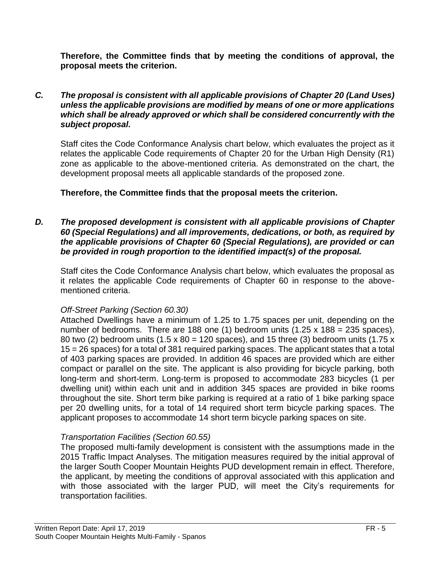**Therefore, the Committee finds that by meeting the conditions of approval, the proposal meets the criterion.** 

#### *C. The proposal is consistent with all applicable provisions of Chapter 20 (Land Uses) unless the applicable provisions are modified by means of one or more applications which shall be already approved or which shall be considered concurrently with the subject proposal.*

Staff cites the Code Conformance Analysis chart below, which evaluates the project as it relates the applicable Code requirements of Chapter 20 for the Urban High Density (R1) zone as applicable to the above-mentioned criteria. As demonstrated on the chart, the development proposal meets all applicable standards of the proposed zone.

## **Therefore, the Committee finds that the proposal meets the criterion.**

#### *D. The proposed development is consistent with all applicable provisions of Chapter 60 (Special Regulations) and all improvements, dedications, or both, as required by the applicable provisions of Chapter 60 (Special Regulations), are provided or can be provided in rough proportion to the identified impact(s) of the proposal.*

Staff cites the Code Conformance Analysis chart below, which evaluates the proposal as it relates the applicable Code requirements of Chapter 60 in response to the abovementioned criteria.

## *Off-Street Parking (Section 60.30)*

Attached Dwellings have a minimum of 1.25 to 1.75 spaces per unit, depending on the number of bedrooms. There are 188 one (1) bedroom units  $(1.25 \times 188 = 235$  spaces), 80 two (2) bedroom units (1.5 x 80 = 120 spaces), and 15 three (3) bedroom units (1.75 x 15 = 26 spaces) for a total of 381 required parking spaces. The applicant states that a total of 403 parking spaces are provided. In addition 46 spaces are provided which are either compact or parallel on the site. The applicant is also providing for bicycle parking, both long-term and short-term. Long-term is proposed to accommodate 283 bicycles (1 per dwelling unit) within each unit and in addition 345 spaces are provided in bike rooms throughout the site. Short term bike parking is required at a ratio of 1 bike parking space per 20 dwelling units, for a total of 14 required short term bicycle parking spaces. The applicant proposes to accommodate 14 short term bicycle parking spaces on site.

## *Transportation Facilities (Section 60.55)*

The proposed multi-family development is consistent with the assumptions made in the 2015 Traffic Impact Analyses. The mitigation measures required by the initial approval of the larger South Cooper Mountain Heights PUD development remain in effect. Therefore, the applicant, by meeting the conditions of approval associated with this application and with those associated with the larger PUD, will meet the City's requirements for transportation facilities.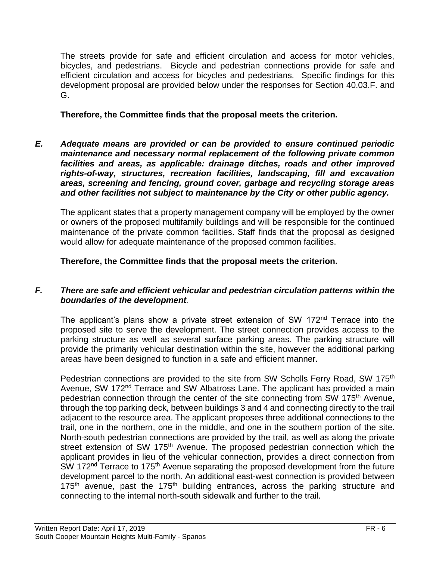The streets provide for safe and efficient circulation and access for motor vehicles, bicycles, and pedestrians. Bicycle and pedestrian connections provide for safe and efficient circulation and access for bicycles and pedestrians. Specific findings for this development proposal are provided below under the responses for Section 40.03.F. and G.

## **Therefore, the Committee finds that the proposal meets the criterion.**

*E. Adequate means are provided or can be provided to ensure continued periodic maintenance and necessary normal replacement of the following private common facilities and areas, as applicable: drainage ditches, roads and other improved rights-of-way, structures, recreation facilities, landscaping, fill and excavation areas, screening and fencing, ground cover, garbage and recycling storage areas and other facilities not subject to maintenance by the City or other public agency.*

The applicant states that a property management company will be employed by the owner or owners of the proposed multifamily buildings and will be responsible for the continued maintenance of the private common facilities. Staff finds that the proposal as designed would allow for adequate maintenance of the proposed common facilities.

**Therefore, the Committee finds that the proposal meets the criterion.** 

## *F. There are safe and efficient vehicular and pedestrian circulation patterns within the boundaries of the development.*

The applicant's plans show a private street extension of SW 172<sup>nd</sup> Terrace into the proposed site to serve the development. The street connection provides access to the parking structure as well as several surface parking areas. The parking structure will provide the primarily vehicular destination within the site, however the additional parking areas have been designed to function in a safe and efficient manner.

Pedestrian connections are provided to the site from SW Scholls Ferry Road, SW 175<sup>th</sup> Avenue, SW 172<sup>nd</sup> Terrace and SW Albatross Lane. The applicant has provided a main pedestrian connection through the center of the site connecting from SW 175<sup>th</sup> Avenue, through the top parking deck, between buildings 3 and 4 and connecting directly to the trail adjacent to the resource area. The applicant proposes three additional connections to the trail, one in the northern, one in the middle, and one in the southern portion of the site. North-south pedestrian connections are provided by the trail, as well as along the private street extension of SW 175<sup>th</sup> Avenue. The proposed pedestrian connection which the applicant provides in lieu of the vehicular connection, provides a direct connection from SW 172<sup>nd</sup> Terrace to 175<sup>th</sup> Avenue separating the proposed development from the future development parcel to the north. An additional east-west connection is provided between 175<sup>th</sup> avenue, past the 175<sup>th</sup> building entrances, across the parking structure and connecting to the internal north-south sidewalk and further to the trail.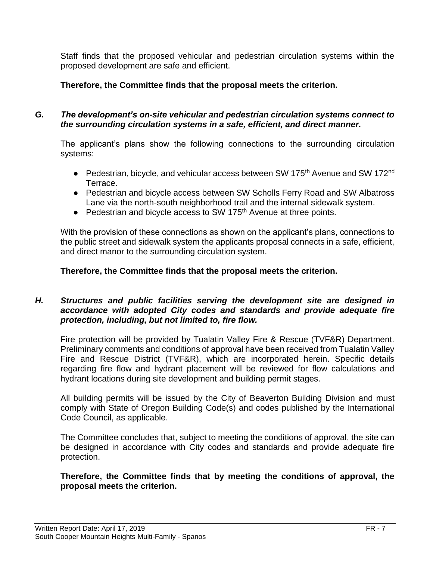Staff finds that the proposed vehicular and pedestrian circulation systems within the proposed development are safe and efficient.

**Therefore, the Committee finds that the proposal meets the criterion.**

## *G. The development's on-site vehicular and pedestrian circulation systems connect to the surrounding circulation systems in a safe, efficient, and direct manner.*

The applicant's plans show the following connections to the surrounding circulation systems:

- Pedestrian, bicycle, and vehicular access between SW 175<sup>th</sup> Avenue and SW 172<sup>nd</sup> Terrace.
- Pedestrian and bicycle access between SW Scholls Ferry Road and SW Albatross Lane via the north-south neighborhood trail and the internal sidewalk system.
- Pedestrian and bicycle access to SW 175<sup>th</sup> Avenue at three points.

With the provision of these connections as shown on the applicant's plans, connections to the public street and sidewalk system the applicants proposal connects in a safe, efficient, and direct manor to the surrounding circulation system.

## **Therefore, the Committee finds that the proposal meets the criterion.**

## *H. Structures and public facilities serving the development site are designed in accordance with adopted City codes and standards and provide adequate fire protection, including, but not limited to, fire flow.*

Fire protection will be provided by Tualatin Valley Fire & Rescue (TVF&R) Department. Preliminary comments and conditions of approval have been received from Tualatin Valley Fire and Rescue District (TVF&R), which are incorporated herein. Specific details regarding fire flow and hydrant placement will be reviewed for flow calculations and hydrant locations during site development and building permit stages.

All building permits will be issued by the City of Beaverton Building Division and must comply with State of Oregon Building Code(s) and codes published by the International Code Council, as applicable.

The Committee concludes that, subject to meeting the conditions of approval, the site can be designed in accordance with City codes and standards and provide adequate fire protection.

## **Therefore, the Committee finds that by meeting the conditions of approval, the proposal meets the criterion.**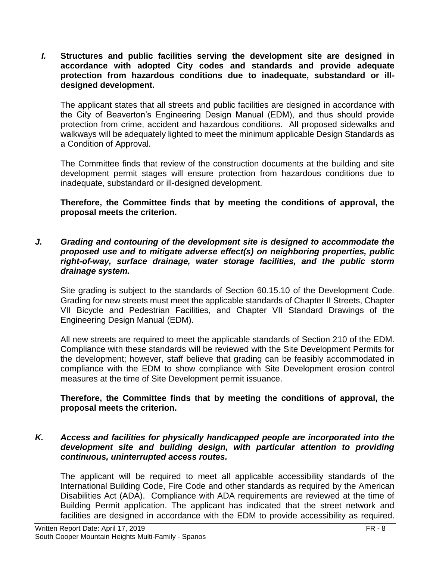*I.* **Structures and public facilities serving the development site are designed in accordance with adopted City codes and standards and provide adequate protection from hazardous conditions due to inadequate, substandard or illdesigned development.**

The applicant states that all streets and public facilities are designed in accordance with the City of Beaverton's Engineering Design Manual (EDM), and thus should provide protection from crime, accident and hazardous conditions. All proposed sidewalks and walkways will be adequately lighted to meet the minimum applicable Design Standards as a Condition of Approval.

The Committee finds that review of the construction documents at the building and site development permit stages will ensure protection from hazardous conditions due to inadequate, substandard or ill-designed development.

**Therefore, the Committee finds that by meeting the conditions of approval, the proposal meets the criterion.** 

*J. Grading and contouring of the development site is designed to accommodate the proposed use and to mitigate adverse effect(s) on neighboring properties, public right-of-way, surface drainage, water storage facilities, and the public storm drainage system.*

Site grading is subject to the standards of Section 60.15.10 of the Development Code. Grading for new streets must meet the applicable standards of Chapter II Streets, Chapter VII Bicycle and Pedestrian Facilities, and Chapter VII Standard Drawings of the Engineering Design Manual (EDM).

All new streets are required to meet the applicable standards of Section 210 of the EDM. Compliance with these standards will be reviewed with the Site Development Permits for the development; however, staff believe that grading can be feasibly accommodated in compliance with the EDM to show compliance with Site Development erosion control measures at the time of Site Development permit issuance.

## **Therefore, the Committee finds that by meeting the conditions of approval, the proposal meets the criterion.**

### *K. Access and facilities for physically handicapped people are incorporated into the development site and building design, with particular attention to providing continuous, uninterrupted access routes.*

The applicant will be required to meet all applicable accessibility standards of the International Building Code, Fire Code and other standards as required by the American Disabilities Act (ADA). Compliance with ADA requirements are reviewed at the time of Building Permit application. The applicant has indicated that the street network and facilities are designed in accordance with the EDM to provide accessibility as required.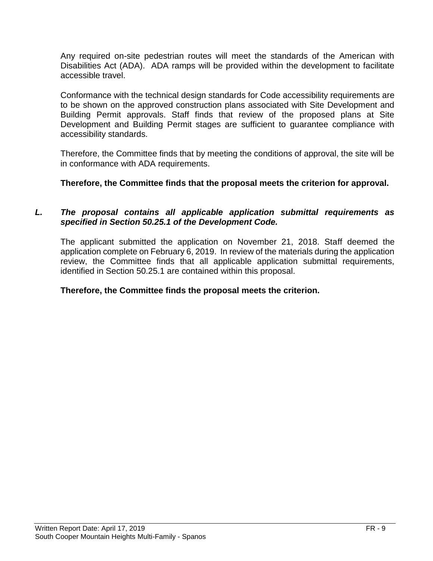Any required on-site pedestrian routes will meet the standards of the American with Disabilities Act (ADA). ADA ramps will be provided within the development to facilitate accessible travel.

Conformance with the technical design standards for Code accessibility requirements are to be shown on the approved construction plans associated with Site Development and Building Permit approvals. Staff finds that review of the proposed plans at Site Development and Building Permit stages are sufficient to guarantee compliance with accessibility standards.

Therefore, the Committee finds that by meeting the conditions of approval, the site will be in conformance with ADA requirements.

## **Therefore, the Committee finds that the proposal meets the criterion for approval.**

## *L. The proposal contains all applicable application submittal requirements as specified in Section 50.25.1 of the Development Code.*

The applicant submitted the application on November 21, 2018. Staff deemed the application complete on February 6, 2019. In review of the materials during the application review, the Committee finds that all applicable application submittal requirements, identified in Section 50.25.1 are contained within this proposal.

## **Therefore, the Committee finds the proposal meets the criterion.**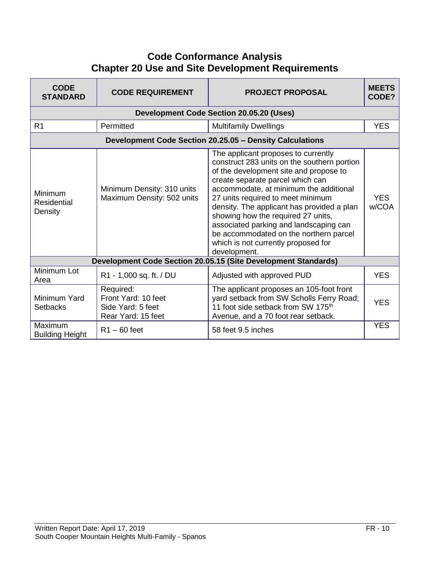# **Code Conformance Analysis Chapter 20 Use and Site Development Requirements**

| <b>CODE</b><br><b>STANDARD</b>           | <b>CODE REQUIREMENT</b>                                                     | <b>PROJECT PROPOSAL</b>                                                                                                                                                                                                                                                                                                                                                                                                                                                        | <b>MEETS</b><br>CODE? |
|------------------------------------------|-----------------------------------------------------------------------------|--------------------------------------------------------------------------------------------------------------------------------------------------------------------------------------------------------------------------------------------------------------------------------------------------------------------------------------------------------------------------------------------------------------------------------------------------------------------------------|-----------------------|
|                                          |                                                                             | <b>Development Code Section 20.05.20 (Uses)</b>                                                                                                                                                                                                                                                                                                                                                                                                                                |                       |
| R <sub>1</sub>                           | Permitted                                                                   | <b>Multifamily Dwellings</b>                                                                                                                                                                                                                                                                                                                                                                                                                                                   | <b>YES</b>            |
|                                          |                                                                             | Development Code Section 20.25.05 - Density Calculations                                                                                                                                                                                                                                                                                                                                                                                                                       |                       |
| Minimum<br><b>Residential</b><br>Density | Minimum Density: 310 units<br>Maximum Density: 502 units                    | The applicant proposes to currently<br>construct 283 units on the southern portion<br>of the development site and propose to<br>create separate parcel which can<br>accommodate, at minimum the additional<br>27 units required to meet minimum<br>density. The applicant has provided a plan<br>showing how the required 27 units,<br>associated parking and landscaping can<br>be accommodated on the northern parcel<br>which is not currently proposed for<br>development. | <b>YES</b><br>w/COA   |
|                                          |                                                                             | Development Code Section 20.05.15 (Site Development Standards)                                                                                                                                                                                                                                                                                                                                                                                                                 |                       |
| Minimum Lot<br>Area                      | R1 - 1,000 sq. ft. / DU                                                     | Adjusted with approved PUD                                                                                                                                                                                                                                                                                                                                                                                                                                                     | <b>YES</b>            |
| Minimum Yard<br><b>Setbacks</b>          | Required:<br>Front Yard: 10 feet<br>Side Yard: 5 feet<br>Rear Yard: 15 feet | The applicant proposes an 105-foot front<br>yard setback from SW Scholls Ferry Road;<br>11 foot side setback from SW 175 <sup>th</sup><br>Avenue, and a 70 foot rear setback.                                                                                                                                                                                                                                                                                                  | <b>YES</b>            |
| <b>Maximum</b><br><b>Building Height</b> | $R1 - 60$ feet                                                              | 58 feet 9.5 inches                                                                                                                                                                                                                                                                                                                                                                                                                                                             | <b>YES</b>            |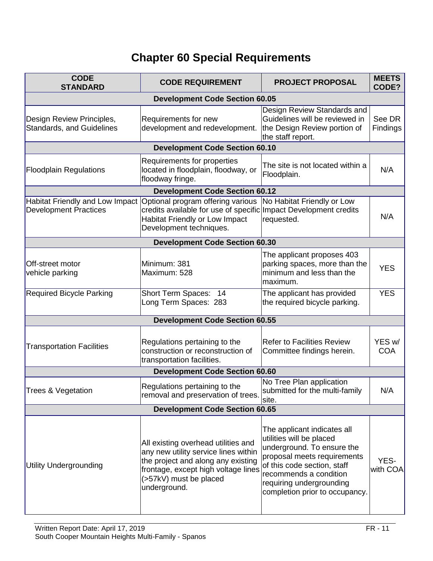# **Chapter 60 Special Requirements**

| <b>CODE</b><br><b>STANDARD</b>                                  | <b>CODE REQUIREMENT</b>                                                                                                                                                                            | <b>PROJECT PROPOSAL</b>                                                                                                                                                                                                                     | <b>MEETS</b><br>CODE? |  |  |
|-----------------------------------------------------------------|----------------------------------------------------------------------------------------------------------------------------------------------------------------------------------------------------|---------------------------------------------------------------------------------------------------------------------------------------------------------------------------------------------------------------------------------------------|-----------------------|--|--|
|                                                                 | <b>Development Code Section 60.05</b>                                                                                                                                                              |                                                                                                                                                                                                                                             |                       |  |  |
| Design Review Principles,<br><b>Standards, and Guidelines</b>   | Requirements for new<br>development and redevelopment.                                                                                                                                             | Design Review Standards and<br>Guidelines will be reviewed in<br>the Design Review portion of<br>the staff report.                                                                                                                          | See DR<br>Findings    |  |  |
|                                                                 | <b>Development Code Section 60.10</b>                                                                                                                                                              |                                                                                                                                                                                                                                             |                       |  |  |
| <b>Floodplain Regulations</b>                                   | Requirements for properties<br>located in floodplain, floodway, or<br>floodway fringe.                                                                                                             | The site is not located within a<br>Floodplain.                                                                                                                                                                                             | N/A                   |  |  |
|                                                                 | <b>Development Code Section 60.12</b>                                                                                                                                                              |                                                                                                                                                                                                                                             |                       |  |  |
| Habitat Friendly and Low Impact<br><b>Development Practices</b> | Optional program offering various<br>credits available for use of specific Impact Development credits<br>Habitat Friendly or Low Impact<br>Development techniques.                                 | No Habitat Friendly or Low<br>requested.                                                                                                                                                                                                    | N/A                   |  |  |
|                                                                 | <b>Development Code Section 60.30</b>                                                                                                                                                              |                                                                                                                                                                                                                                             |                       |  |  |
| Off-street motor<br>vehicle parking                             | Minimum: 381<br>Maximum: 528                                                                                                                                                                       | The applicant proposes 403<br>parking spaces, more than the<br>minimum and less than the<br>maximum.                                                                                                                                        | <b>YES</b>            |  |  |
| <b>Required Bicycle Parking</b>                                 | <b>Short Term Spaces:</b><br>-14<br>Long Term Spaces: 283                                                                                                                                          | The applicant has provided<br>the required bicycle parking.                                                                                                                                                                                 | <b>YES</b>            |  |  |
|                                                                 | <b>Development Code Section 60.55</b>                                                                                                                                                              |                                                                                                                                                                                                                                             |                       |  |  |
| <b>Transportation Facilities</b>                                | Regulations pertaining to the<br>construction or reconstruction of<br>transportation facilities.                                                                                                   | <b>Refer to Facilities Review</b><br>Committee findings herein.                                                                                                                                                                             | YES w/<br><b>COA</b>  |  |  |
|                                                                 | <b>Development Code Section 60.60</b>                                                                                                                                                              |                                                                                                                                                                                                                                             |                       |  |  |
| Trees & Vegetation                                              | Regulations pertaining to the<br>removal and preservation of trees.                                                                                                                                | No Tree Plan application<br>submitted for the multi-family<br>site.                                                                                                                                                                         | N/A                   |  |  |
|                                                                 | <b>Development Code Section 60.65</b>                                                                                                                                                              |                                                                                                                                                                                                                                             |                       |  |  |
| Utility Undergrounding                                          | All existing overhead utilities and<br>any new utility service lines within<br>the project and along any existing<br>frontage, except high voltage lines<br>(>57kV) must be placed<br>underground. | The applicant indicates all<br>utilities will be placed<br>underground. To ensure the<br>proposal meets requirements<br>of this code section, staff<br>recommends a condition<br>requiring undergrounding<br>completion prior to occupancy. | YES-<br>with COA      |  |  |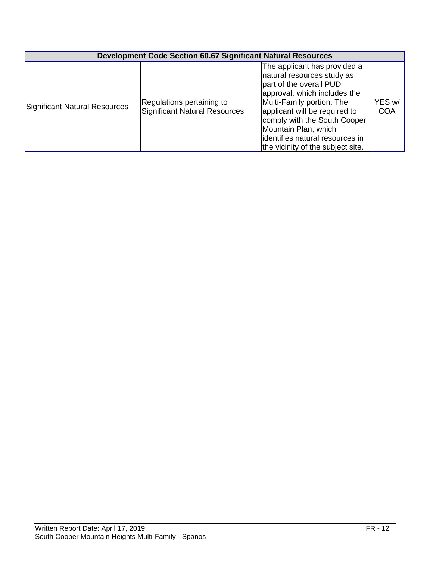| <b>Development Code Section 60.67 Significant Natural Resources</b> |                                                            |                                                                                                                                                                                                                                                                                                                      |                      |
|---------------------------------------------------------------------|------------------------------------------------------------|----------------------------------------------------------------------------------------------------------------------------------------------------------------------------------------------------------------------------------------------------------------------------------------------------------------------|----------------------|
| Significant Natural Resources                                       | Regulations pertaining to<br>Significant Natural Resources | The applicant has provided a<br>natural resources study as<br>part of the overall PUD<br>approval, which includes the<br>Multi-Family portion. The<br>applicant will be required to<br>comply with the South Cooper<br>Mountain Plan, which<br>lidentifies natural resources in<br>the vicinity of the subject site. | YES w/<br><b>COA</b> |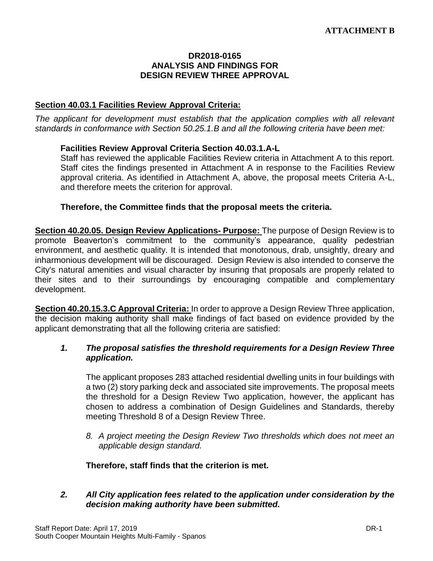#### **DR2018-0165 ANALYSIS AND FINDINGS FOR DESIGN REVIEW THREE APPROVAL**

#### **Section 40.03.1 Facilities Review Approval Criteria:**

*The applicant for development must establish that the application complies with all relevant standards in conformance with Section 50.25.1.B and all the following criteria have been met:* 

#### **Facilities Review Approval Criteria Section 40.03.1.A-L**

Staff has reviewed the applicable Facilities Review criteria in Attachment A to this report. Staff cites the findings presented in Attachment A in response to the Facilities Review approval criteria. As identified in Attachment A, above, the proposal meets Criteria A-L, and therefore meets the criterion for approval.

#### **Therefore, the Committee finds that the proposal meets the criteria.**

**Section 40.20.05. Design Review Applications- Purpose:** The purpose of Design Review is to promote Beaverton's commitment to the community's appearance, quality pedestrian environment, and aesthetic quality. It is intended that monotonous, drab, unsightly, dreary and inharmonious development will be discouraged. Design Review is also intended to conserve the City's natural amenities and visual character by insuring that proposals are properly related to their sites and to their surroundings by encouraging compatible and complementary development.

**Section 40.20.15.3.C Approval Criteria:** In order to approve a Design Review Three application, the decision making authority shall make findings of fact based on evidence provided by the applicant demonstrating that all the following criteria are satisfied:

#### *1. The proposal satisfies the threshold requirements for a Design Review Three application.*

The applicant proposes 283 attached residential dwelling units in four buildings with a two (2) story parking deck and associated site improvements. The proposal meets the threshold for a Design Review Two application, however, the applicant has chosen to address a combination of Design Guidelines and Standards, thereby meeting Threshold 8 of a Design Review Three.

*8. A project meeting the Design Review Two thresholds which does not meet an applicable design standard.*

#### **Therefore, staff finds that the criterion is met.**

#### *2. All City application fees related to the application under consideration by the decision making authority have been submitted.*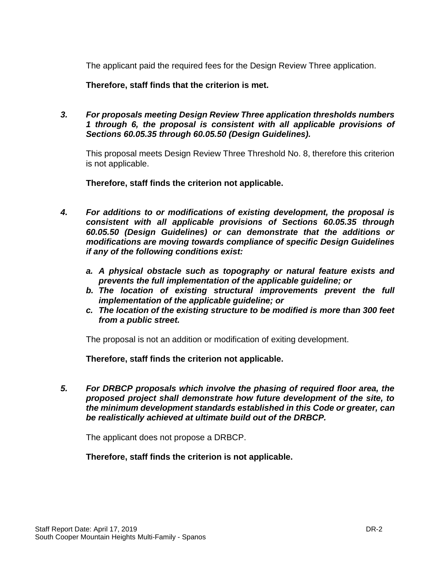The applicant paid the required fees for the Design Review Three application.

**Therefore, staff finds that the criterion is met.**

*3. For proposals meeting Design Review Three application thresholds numbers 1 through 6, the proposal is consistent with all applicable provisions of Sections 60.05.35 through 60.05.50 (Design Guidelines).*

This proposal meets Design Review Three Threshold No. 8, therefore this criterion is not applicable.

**Therefore, staff finds the criterion not applicable.**

- *4. For additions to or modifications of existing development, the proposal is consistent with all applicable provisions of Sections 60.05.35 through 60.05.50 (Design Guidelines) or can demonstrate that the additions or modifications are moving towards compliance of specific Design Guidelines if any of the following conditions exist:*
	- *a. A physical obstacle such as topography or natural feature exists and prevents the full implementation of the applicable guideline; or*
	- *b. The location of existing structural improvements prevent the full implementation of the applicable guideline; or*
	- *c. The location of the existing structure to be modified is more than 300 feet from a public street.*

The proposal is not an addition or modification of exiting development.

**Therefore, staff finds the criterion not applicable.**

*5. For DRBCP proposals which involve the phasing of required floor area, the proposed project shall demonstrate how future development of the site, to the minimum development standards established in this Code or greater, can be realistically achieved at ultimate build out of the DRBCP.*

The applicant does not propose a DRBCP.

**Therefore, staff finds the criterion is not applicable.**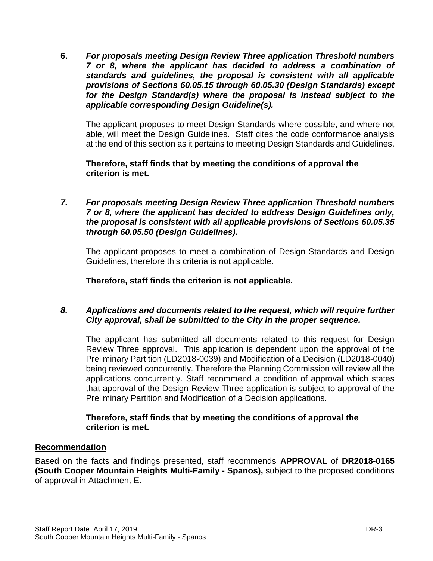**6.** *For proposals meeting Design Review Three application Threshold numbers 7 or 8, where the applicant has decided to address a combination of standards and guidelines, the proposal is consistent with all applicable provisions of Sections 60.05.15 through 60.05.30 (Design Standards) except for the Design Standard(s) where the proposal is instead subject to the applicable corresponding Design Guideline(s).* 

The applicant proposes to meet Design Standards where possible, and where not able, will meet the Design Guidelines. Staff cites the code conformance analysis at the end of this section as it pertains to meeting Design Standards and Guidelines.

**Therefore, staff finds that by meeting the conditions of approval the criterion is met.**

*7. For proposals meeting Design Review Three application Threshold numbers 7 or 8, where the applicant has decided to address Design Guidelines only, the proposal is consistent with all applicable provisions of Sections 60.05.35 through 60.05.50 (Design Guidelines).*

The applicant proposes to meet a combination of Design Standards and Design Guidelines, therefore this criteria is not applicable.

**Therefore, staff finds the criterion is not applicable.**

## *8. Applications and documents related to the request, which will require further City approval, shall be submitted to the City in the proper sequence.*

The applicant has submitted all documents related to this request for Design Review Three approval. This application is dependent upon the approval of the Preliminary Partition (LD2018-0039) and Modification of a Decision (LD2018-0040) being reviewed concurrently. Therefore the Planning Commission will review all the applications concurrently. Staff recommend a condition of approval which states that approval of the Design Review Three application is subject to approval of the Preliminary Partition and Modification of a Decision applications.

## **Therefore, staff finds that by meeting the conditions of approval the criterion is met.**

## **Recommendation**

Based on the facts and findings presented, staff recommends **APPROVAL** of **DR2018-0165 (South Cooper Mountain Heights Multi-Family - Spanos),** subject to the proposed conditions of approval in Attachment E.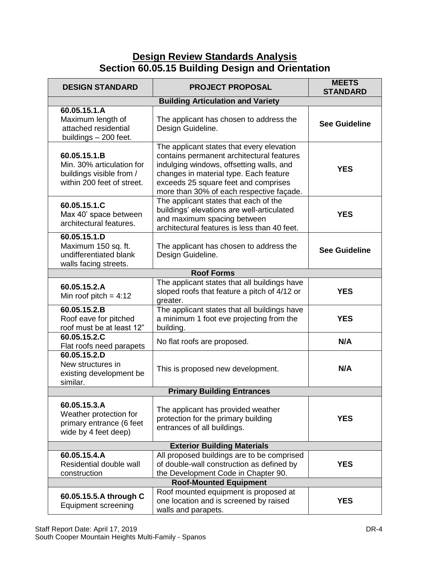# **Design Review Standards Analysis Section 60.05.15 Building Design and Orientation**

| <b>DESIGN STANDARD</b>                                                                              | <b>PROJECT PROPOSAL</b>                                                                                                                                                                                                                                          | <b>MEETS</b><br><b>STANDARD</b> |  |
|-----------------------------------------------------------------------------------------------------|------------------------------------------------------------------------------------------------------------------------------------------------------------------------------------------------------------------------------------------------------------------|---------------------------------|--|
| <b>Building Articulation and Variety</b>                                                            |                                                                                                                                                                                                                                                                  |                                 |  |
| 60.05.15.1.A<br>Maximum length of<br>attached residential<br>buildings - 200 feet.                  | The applicant has chosen to address the<br>Design Guideline.                                                                                                                                                                                                     | <b>See Guideline</b>            |  |
| 60.05.15.1.B<br>Min. 30% articulation for<br>buildings visible from /<br>within 200 feet of street. | The applicant states that every elevation<br>contains permanent architectural features<br>indulging windows, offsetting walls, and<br>changes in material type. Each feature<br>exceeds 25 square feet and comprises<br>more than 30% of each respective façade. | <b>YES</b>                      |  |
| 60.05.15.1.C<br>Max 40' space between<br>architectural features.                                    | The applicant states that each of the<br>buildings' elevations are well-articulated<br>and maximum spacing between<br>architectural features is less than 40 feet.                                                                                               | <b>YES</b>                      |  |
| 60.05.15.1.D<br>Maximum 150 sq. ft.<br>undifferentiated blank<br>walls facing streets.              | The applicant has chosen to address the<br>Design Guideline.                                                                                                                                                                                                     | <b>See Guideline</b>            |  |
|                                                                                                     | <b>Roof Forms</b>                                                                                                                                                                                                                                                |                                 |  |
| 60.05.15.2.A<br>Min roof pitch = $4:12$                                                             | The applicant states that all buildings have<br>sloped roofs that feature a pitch of 4/12 or<br>greater.                                                                                                                                                         | <b>YES</b>                      |  |
| 60.05.15.2.B<br>Roof eave for pitched<br>roof must be at least 12"                                  | The applicant states that all buildings have<br>a minimum 1 foot eve projecting from the<br>building.                                                                                                                                                            | <b>YES</b>                      |  |
| 60.05.15.2.C<br>Flat roofs need parapets                                                            | No flat roofs are proposed.                                                                                                                                                                                                                                      | N/A                             |  |
| 60.05.15.2.D<br>New structures in<br>existing development be<br>similar.                            | This is proposed new development.                                                                                                                                                                                                                                | N/A                             |  |
|                                                                                                     | <b>Primary Building Entrances</b>                                                                                                                                                                                                                                |                                 |  |
| 60.05.15.3.A<br>Weather protection for<br>primary entrance (6 feet<br>wide by 4 feet deep)          | The applicant has provided weather<br>protection for the primary building<br>entrances of all buildings.                                                                                                                                                         | <b>YES</b>                      |  |
| <b>Exterior Building Materials</b>                                                                  |                                                                                                                                                                                                                                                                  |                                 |  |
| 60.05.15.4.A<br>Residential double wall<br>construction                                             | All proposed buildings are to be comprised<br>of double-wall construction as defined by<br>the Development Code in Chapter 90.                                                                                                                                   | <b>YES</b>                      |  |
|                                                                                                     | <b>Roof-Mounted Equipment</b>                                                                                                                                                                                                                                    |                                 |  |
| 60.05.15.5.A through C<br><b>Equipment screening</b>                                                | Roof mounted equipment is proposed at<br>one location and is screened by raised<br>walls and parapets.                                                                                                                                                           | <b>YES</b>                      |  |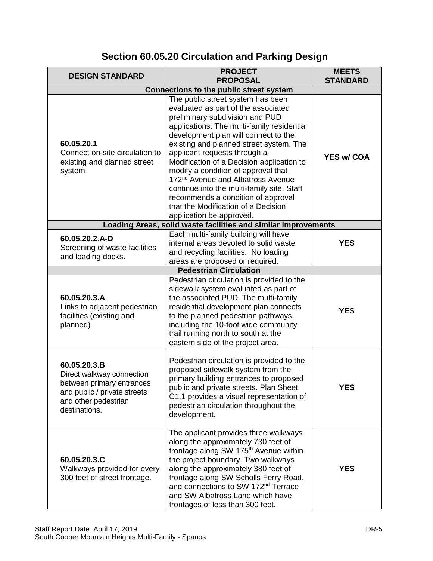| Section 60.05.20 Circulation and Parking Design |  |  |
|-------------------------------------------------|--|--|
|-------------------------------------------------|--|--|

| <b>DESIGN STANDARD</b>                                                                                                                          | <b>PROJECT</b><br><b>PROPOSAL</b>                                                                                                                                                                                                                                                                                                                                                                                                                                                                                                                                        | <b>MEETS</b><br><b>STANDARD</b> |  |  |  |
|-------------------------------------------------------------------------------------------------------------------------------------------------|--------------------------------------------------------------------------------------------------------------------------------------------------------------------------------------------------------------------------------------------------------------------------------------------------------------------------------------------------------------------------------------------------------------------------------------------------------------------------------------------------------------------------------------------------------------------------|---------------------------------|--|--|--|
|                                                                                                                                                 | Connections to the public street system                                                                                                                                                                                                                                                                                                                                                                                                                                                                                                                                  |                                 |  |  |  |
| 60.05.20.1<br>Connect on-site circulation to<br>existing and planned street<br>system                                                           | The public street system has been<br>evaluated as part of the associated<br>preliminary subdivision and PUD<br>applications. The multi-family residential<br>development plan will connect to the<br>existing and planned street system. The<br>applicant requests through a<br>Modification of a Decision application to<br>modify a condition of approval that<br>172 <sup>nd</sup> Avenue and Albatross Avenue<br>continue into the multi-family site. Staff<br>recommends a condition of approval<br>that the Modification of a Decision<br>application be approved. | <b>YES w/ COA</b>               |  |  |  |
|                                                                                                                                                 | Loading Areas, solid waste facilities and similar improvements                                                                                                                                                                                                                                                                                                                                                                                                                                                                                                           |                                 |  |  |  |
| 60.05.20.2.A-D<br>Screening of waste facilities<br>and loading docks.                                                                           | Each multi-family building will have<br>internal areas devoted to solid waste<br>and recycling facilities. No loading<br>areas are proposed or required.                                                                                                                                                                                                                                                                                                                                                                                                                 | <b>YES</b>                      |  |  |  |
|                                                                                                                                                 | <b>Pedestrian Circulation</b>                                                                                                                                                                                                                                                                                                                                                                                                                                                                                                                                            |                                 |  |  |  |
| 60.05.20.3.A<br>Links to adjacent pedestrian<br>facilities (existing and<br>planned)                                                            | Pedestrian circulation is provided to the<br>sidewalk system evaluated as part of<br>the associated PUD. The multi-family<br>residential development plan connects<br>to the planned pedestrian pathways,<br>including the 10-foot wide community<br>trail running north to south at the<br>eastern side of the project area.                                                                                                                                                                                                                                            | <b>YES</b>                      |  |  |  |
| 60.05.20.3.B<br>Direct walkway connection<br>between primary entrances<br>and public / private streets<br>and other pedestrian<br>destinations. | Pedestrian circulation is provided to the<br>proposed sidewalk system from the<br>primary building entrances to proposed<br>public and private streets. Plan Sheet<br>C1.1 provides a visual representation of<br>pedestrian circulation throughout the<br>development.                                                                                                                                                                                                                                                                                                  | <b>YES</b>                      |  |  |  |
| 60.05.20.3.C<br>Walkways provided for every<br>300 feet of street frontage.                                                                     | The applicant provides three walkways<br>along the approximately 730 feet of<br>frontage along SW 175 <sup>th</sup> Avenue within<br>the project boundary. Two walkways<br>along the approximately 380 feet of<br>frontage along SW Scholls Ferry Road,<br>and connections to SW 172 <sup>nd</sup> Terrace<br>and SW Albatross Lane which have<br>frontages of less than 300 feet.                                                                                                                                                                                       | <b>YES</b>                      |  |  |  |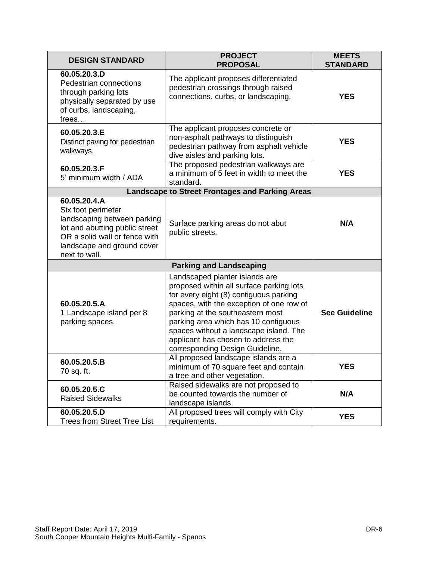| <b>DESIGN STANDARD</b>                                                                                                                                                              | <b>PROJECT</b><br><b>PROPOSAL</b>                                                                                                                                                                                                                                                                                                                                | <b>MEETS</b><br><b>STANDARD</b> |
|-------------------------------------------------------------------------------------------------------------------------------------------------------------------------------------|------------------------------------------------------------------------------------------------------------------------------------------------------------------------------------------------------------------------------------------------------------------------------------------------------------------------------------------------------------------|---------------------------------|
| 60.05.20.3.D<br>Pedestrian connections<br>through parking lots<br>physically separated by use<br>of curbs, landscaping,<br>trees                                                    | The applicant proposes differentiated<br>pedestrian crossings through raised<br>connections, curbs, or landscaping.                                                                                                                                                                                                                                              | <b>YES</b>                      |
| 60.05.20.3.E<br>Distinct paving for pedestrian<br>walkways.                                                                                                                         | The applicant proposes concrete or<br>non-asphalt pathways to distinguish<br>pedestrian pathway from asphalt vehicle<br>dive aisles and parking lots.                                                                                                                                                                                                            | <b>YES</b>                      |
| 60.05.20.3.F<br>5' minimum width / ADA                                                                                                                                              | The proposed pedestrian walkways are<br>a minimum of 5 feet in width to meet the<br>standard.                                                                                                                                                                                                                                                                    | <b>YES</b>                      |
|                                                                                                                                                                                     | <b>Landscape to Street Frontages and Parking Areas</b>                                                                                                                                                                                                                                                                                                           |                                 |
| 60.05.20.4.A<br>Six foot perimeter<br>landscaping between parking<br>lot and abutting public street<br>OR a solid wall or fence with<br>landscape and ground cover<br>next to wall. | Surface parking areas do not abut<br>public streets.                                                                                                                                                                                                                                                                                                             | N/A                             |
|                                                                                                                                                                                     | <b>Parking and Landscaping</b>                                                                                                                                                                                                                                                                                                                                   |                                 |
| 60.05.20.5.A<br>1 Landscape island per 8<br>parking spaces.                                                                                                                         | Landscaped planter islands are<br>proposed within all surface parking lots<br>for every eight (8) contiguous parking<br>spaces, with the exception of one row of<br>parking at the southeastern most<br>parking area which has 10 contiguous<br>spaces without a landscape island. The<br>applicant has chosen to address the<br>corresponding Design Guideline. | <b>See Guideline</b>            |
| 60.05.20.5.B<br>70 sq. ft.                                                                                                                                                          | All proposed landscape islands are a<br>minimum of 70 square feet and contain<br>a tree and other vegetation.                                                                                                                                                                                                                                                    | YES                             |
| 60.05.20.5.C<br><b>Raised Sidewalks</b>                                                                                                                                             | Raised sidewalks are not proposed to<br>be counted towards the number of<br>landscape islands.                                                                                                                                                                                                                                                                   | N/A                             |
| 60.05.20.5.D<br><b>Trees from Street Tree List</b>                                                                                                                                  | All proposed trees will comply with City<br>requirements.                                                                                                                                                                                                                                                                                                        | <b>YES</b>                      |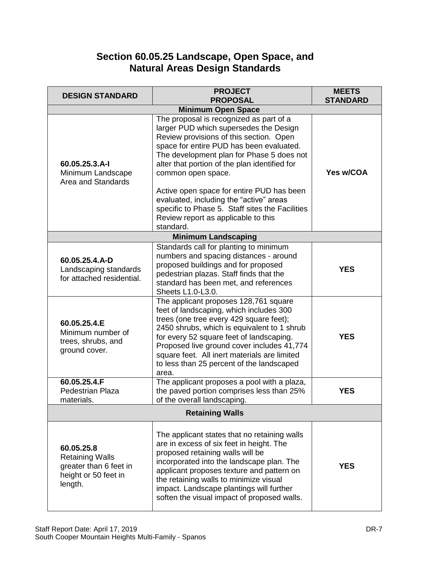# **Section 60.05.25 Landscape, Open Space, and Natural Areas Design Standards**

| <b>DESIGN STANDARD</b>                                                                            | <b>PROJECT</b><br><b>PROPOSAL</b>                                                                                                                                                                                                                                                                                                                                          | <b>MEETS</b><br><b>STANDARD</b> |  |  |
|---------------------------------------------------------------------------------------------------|----------------------------------------------------------------------------------------------------------------------------------------------------------------------------------------------------------------------------------------------------------------------------------------------------------------------------------------------------------------------------|---------------------------------|--|--|
|                                                                                                   | <b>Minimum Open Space</b>                                                                                                                                                                                                                                                                                                                                                  |                                 |  |  |
| 60.05.25.3.A-I<br>Minimum Landscape<br>Area and Standards                                         | The proposal is recognized as part of a<br>larger PUD which supersedes the Design<br>Review provisions of this section. Open<br>space for entire PUD has been evaluated.<br>The development plan for Phase 5 does not<br>alter that portion of the plan identified for<br>common open space.                                                                               | Yes w/COA                       |  |  |
|                                                                                                   | Active open space for entire PUD has been<br>evaluated, including the "active" areas<br>specific to Phase 5. Staff sites the Facilities<br>Review report as applicable to this<br>standard.                                                                                                                                                                                |                                 |  |  |
|                                                                                                   | <b>Minimum Landscaping</b>                                                                                                                                                                                                                                                                                                                                                 |                                 |  |  |
| 60.05.25.4.A-D<br>Landscaping standards<br>for attached residential.                              | Standards call for planting to minimum<br>numbers and spacing distances - around<br>proposed buildings and for proposed<br>pedestrian plazas. Staff finds that the<br>standard has been met, and references<br>Sheets L1.0-L3.0.                                                                                                                                           | <b>YES</b>                      |  |  |
| 60.05.25.4.E<br>Minimum number of<br>trees, shrubs, and<br>ground cover.                          | The applicant proposes 128,761 square<br>feet of landscaping, which includes 300<br>trees (one tree every 429 square feet);<br>2450 shrubs, which is equivalent to 1 shrub<br>for every 52 square feet of landscaping.<br>Proposed live ground cover includes 41,774<br>square feet. All inert materials are limited<br>to less than 25 percent of the landscaped<br>area. | <b>YES</b>                      |  |  |
| 60.05.25.4.F<br><b>Pedestrian Plaza</b><br>materials.                                             | The applicant proposes a pool with a plaza,<br>the paved portion comprises less than 25%<br>of the overall landscaping.                                                                                                                                                                                                                                                    | <b>YES</b>                      |  |  |
|                                                                                                   | <b>Retaining Walls</b>                                                                                                                                                                                                                                                                                                                                                     |                                 |  |  |
| 60.05.25.8<br><b>Retaining Walls</b><br>greater than 6 feet in<br>height or 50 feet in<br>length. | The applicant states that no retaining walls<br>are in excess of six feet in height. The<br>proposed retaining walls will be<br>incorporated into the landscape plan. The<br>applicant proposes texture and pattern on<br>the retaining walls to minimize visual<br>impact. Landscape plantings will further<br>soften the visual impact of proposed walls.                | <b>YES</b>                      |  |  |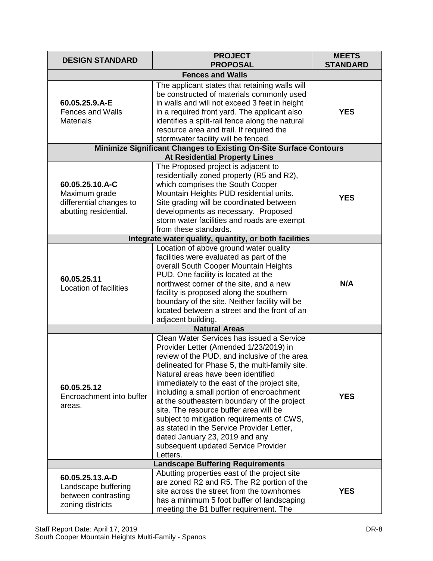| <b>DESIGN STANDARD</b>                                                               | <b>PROJECT</b><br><b>PROPOSAL</b>                                                                                                                                                                                                                                                                                                                                                                                                                                                                                                                                                                 | <b>MEETS</b><br><b>STANDARD</b> |  |  |
|--------------------------------------------------------------------------------------|---------------------------------------------------------------------------------------------------------------------------------------------------------------------------------------------------------------------------------------------------------------------------------------------------------------------------------------------------------------------------------------------------------------------------------------------------------------------------------------------------------------------------------------------------------------------------------------------------|---------------------------------|--|--|
| <b>Fences and Walls</b>                                                              |                                                                                                                                                                                                                                                                                                                                                                                                                                                                                                                                                                                                   |                                 |  |  |
| 60.05.25.9.A-E<br><b>Fences and Walls</b><br><b>Materials</b>                        | The applicant states that retaining walls will<br>be constructed of materials commonly used<br>in walls and will not exceed 3 feet in height<br>in a required front yard. The applicant also<br>identifies a split-rail fence along the natural<br>resource area and trail. If required the<br>stormwater facility will be fenced.                                                                                                                                                                                                                                                                | <b>YES</b>                      |  |  |
|                                                                                      | Minimize Significant Changes to Existing On-Site Surface Contours                                                                                                                                                                                                                                                                                                                                                                                                                                                                                                                                 |                                 |  |  |
|                                                                                      | <b>At Residential Property Lines</b>                                                                                                                                                                                                                                                                                                                                                                                                                                                                                                                                                              |                                 |  |  |
| 60.05.25.10.A-C<br>Maximum grade<br>differential changes to<br>abutting residential. | The Proposed project is adjacent to<br>residentially zoned property (R5 and R2),<br>which comprises the South Cooper<br>Mountain Heights PUD residential units.<br>Site grading will be coordinated between<br>developments as necessary. Proposed<br>storm water facilities and roads are exempt<br>from these standards.                                                                                                                                                                                                                                                                        | <b>YES</b>                      |  |  |
|                                                                                      | Integrate water quality, quantity, or both facilities                                                                                                                                                                                                                                                                                                                                                                                                                                                                                                                                             |                                 |  |  |
| 60.05.25.11<br>Location of facilities                                                | Location of above ground water quality<br>facilities were evaluated as part of the<br>overall South Cooper Mountain Heights<br>PUD. One facility is located at the<br>northwest corner of the site, and a new<br>facility is proposed along the southern<br>boundary of the site. Neither facility will be<br>located between a street and the front of an<br>adjacent building.                                                                                                                                                                                                                  | N/A                             |  |  |
|                                                                                      | <b>Natural Areas</b>                                                                                                                                                                                                                                                                                                                                                                                                                                                                                                                                                                              |                                 |  |  |
| 60.05.25.12<br>Encroachment into buffer<br>areas.                                    | Clean Water Services has issued a Service<br>Provider Letter (Amended 1/23/2019) in<br>review of the PUD, and inclusive of the area<br>delineated for Phase 5, the multi-family site.<br>Natural areas have been identified<br>immediately to the east of the project site,<br>including a small portion of encroachment<br>at the southeastern boundary of the project<br>site. The resource buffer area will be<br>subject to mitigation requirements of CWS,<br>as stated in the Service Provider Letter,<br>dated January 23, 2019 and any<br>subsequent updated Service Provider<br>Letters. | <b>YES</b>                      |  |  |
| <b>Landscape Buffering Requirements</b>                                              |                                                                                                                                                                                                                                                                                                                                                                                                                                                                                                                                                                                                   |                                 |  |  |
| 60.05.25.13.A-D<br>Landscape buffering<br>between contrasting<br>zoning districts    | Abutting properties east of the project site<br>are zoned R2 and R5. The R2 portion of the<br>site across the street from the townhomes<br>has a minimum 5 foot buffer of landscaping<br>meeting the B1 buffer requirement. The                                                                                                                                                                                                                                                                                                                                                                   | <b>YES</b>                      |  |  |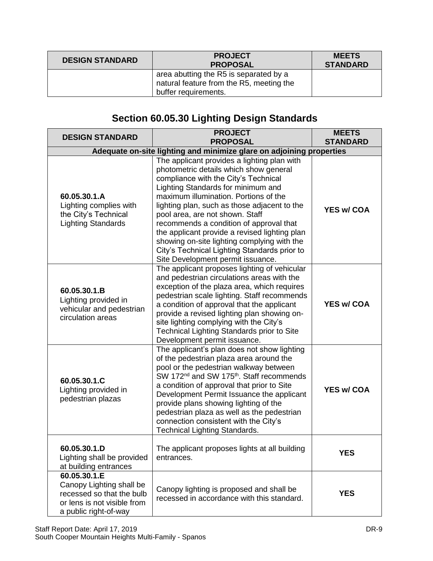| <b>DESIGN STANDARD</b> | <b>PROJECT</b><br><b>PROPOSAL</b>                                                                          | <b>MEETS</b><br><b>STANDARD</b> |
|------------------------|------------------------------------------------------------------------------------------------------------|---------------------------------|
|                        | area abutting the R5 is separated by a<br>natural feature from the R5, meeting the<br>buffer requirements. |                                 |

# **Section 60.05.30 Lighting Design Standards**

| <b>DESIGN STANDARD</b>                                                                                                        | <b>PROJECT</b><br><b>PROPOSAL</b>                                                                                                                                                                                                                                                                                                                                                                                                                                                                                               | <b>MEETS</b><br><b>STANDARD</b> |  |  |
|-------------------------------------------------------------------------------------------------------------------------------|---------------------------------------------------------------------------------------------------------------------------------------------------------------------------------------------------------------------------------------------------------------------------------------------------------------------------------------------------------------------------------------------------------------------------------------------------------------------------------------------------------------------------------|---------------------------------|--|--|
| Adequate on-site lighting and minimize glare on adjoining properties                                                          |                                                                                                                                                                                                                                                                                                                                                                                                                                                                                                                                 |                                 |  |  |
| 60.05.30.1.A<br>Lighting complies with<br>the City's Technical<br><b>Lighting Standards</b>                                   | The applicant provides a lighting plan with<br>photometric details which show general<br>compliance with the City's Technical<br>Lighting Standards for minimum and<br>maximum illumination. Portions of the<br>lighting plan, such as those adjacent to the<br>pool area, are not shown. Staff<br>recommends a condition of approval that<br>the applicant provide a revised lighting plan<br>showing on-site lighting complying with the<br>City's Technical Lighting Standards prior to<br>Site Development permit issuance. | <b>YES w/ COA</b>               |  |  |
| 60.05.30.1.B<br>Lighting provided in<br>vehicular and pedestrian<br>circulation areas                                         | The applicant proposes lighting of vehicular<br>and pedestrian circulations areas with the<br>exception of the plaza area, which requires<br>pedestrian scale lighting. Staff recommends<br>a condition of approval that the applicant<br>provide a revised lighting plan showing on-<br>site lighting complying with the City's<br>Technical Lighting Standards prior to Site<br>Development permit issuance.                                                                                                                  | <b>YES w/ COA</b>               |  |  |
| 60.05.30.1.C<br>Lighting provided in<br>pedestrian plazas                                                                     | The applicant's plan does not show lighting<br>of the pedestrian plaza area around the<br>pool or the pedestrian walkway between<br>SW 172 <sup>nd</sup> and SW 175 <sup>th</sup> . Staff recommends<br>a condition of approval that prior to Site<br>Development Permit Issuance the applicant<br>provide plans showing lighting of the<br>pedestrian plaza as well as the pedestrian<br>connection consistent with the City's<br><b>Technical Lighting Standards.</b>                                                         | <b>YES w/ COA</b>               |  |  |
| 60.05.30.1.D<br>Lighting shall be provided<br>at building entrances                                                           | The applicant proposes lights at all building<br>entrances.                                                                                                                                                                                                                                                                                                                                                                                                                                                                     | <b>YES</b>                      |  |  |
| 60.05.30.1.E<br>Canopy Lighting shall be<br>recessed so that the bulb<br>or lens is not visible from<br>a public right-of-way | Canopy lighting is proposed and shall be<br>recessed in accordance with this standard.                                                                                                                                                                                                                                                                                                                                                                                                                                          | <b>YES</b>                      |  |  |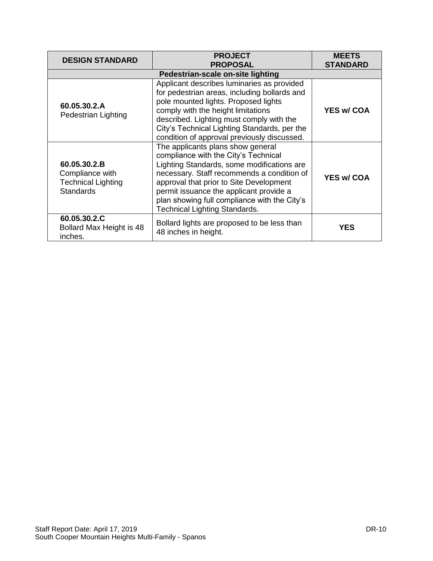| <b>DESIGN STANDARD</b>                                                           | <b>PROJECT</b><br><b>PROPOSAL</b>                                                                                                                                                                                                                                                                                                                   | <b>MEETS</b><br><b>STANDARD</b> |  |  |
|----------------------------------------------------------------------------------|-----------------------------------------------------------------------------------------------------------------------------------------------------------------------------------------------------------------------------------------------------------------------------------------------------------------------------------------------------|---------------------------------|--|--|
| Pedestrian-scale on-site lighting                                                |                                                                                                                                                                                                                                                                                                                                                     |                                 |  |  |
| 60.05.30.2.A<br>Pedestrian Lighting                                              | Applicant describes luminaries as provided<br>for pedestrian areas, including bollards and<br>pole mounted lights. Proposed lights<br>comply with the height limitations<br>described. Lighting must comply with the<br>City's Technical Lighting Standards, per the<br>condition of approval previously discussed.                                 | <b>YES w/ COA</b>               |  |  |
| 60.05.30.2.B<br>Compliance with<br><b>Technical Lighting</b><br><b>Standards</b> | The applicants plans show general<br>compliance with the City's Technical<br>Lighting Standards, some modifications are<br>necessary. Staff recommends a condition of<br>approval that prior to Site Development<br>permit issuance the applicant provide a<br>plan showing full compliance with the City's<br><b>Technical Lighting Standards.</b> | <b>YES w/ COA</b>               |  |  |
| 60.05.30.2.C<br>Bollard Max Height is 48<br>inches.                              | Bollard lights are proposed to be less than<br>48 inches in height.                                                                                                                                                                                                                                                                                 | <b>YES</b>                      |  |  |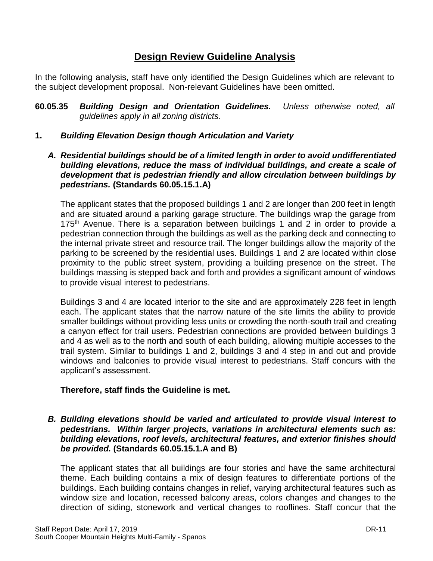## **Design Review Guideline Analysis**

In the following analysis, staff have only identified the Design Guidelines which are relevant to the subject development proposal. Non-relevant Guidelines have been omitted.

- **60.05.35** *Building Design and Orientation Guidelines. Unless otherwise noted, all guidelines apply in all zoning districts.*
- **1.** *Building Elevation Design though Articulation and Variety*
	- *A. Residential buildings should be of a limited length in order to avoid undifferentiated building elevations, reduce the mass of individual buildings, and create a scale of development that is pedestrian friendly and allow circulation between buildings by pedestrians.* **(Standards 60.05.15.1.A)**

The applicant states that the proposed buildings 1 and 2 are longer than 200 feet in length and are situated around a parking garage structure. The buildings wrap the garage from 175<sup>th</sup> Avenue. There is a separation between buildings 1 and 2 in order to provide a pedestrian connection through the buildings as well as the parking deck and connecting to the internal private street and resource trail. The longer buildings allow the majority of the parking to be screened by the residential uses. Buildings 1 and 2 are located within close proximity to the public street system, providing a building presence on the street. The buildings massing is stepped back and forth and provides a significant amount of windows to provide visual interest to pedestrians.

Buildings 3 and 4 are located interior to the site and are approximately 228 feet in length each. The applicant states that the narrow nature of the site limits the ability to provide smaller buildings without providing less units or crowding the north-south trail and creating a canyon effect for trail users. Pedestrian connections are provided between buildings 3 and 4 as well as to the north and south of each building, allowing multiple accesses to the trail system. Similar to buildings 1 and 2, buildings 3 and 4 step in and out and provide windows and balconies to provide visual interest to pedestrians. Staff concurs with the applicant's assessment.

## **Therefore, staff finds the Guideline is met.**

*B. Building elevations should be varied and articulated to provide visual interest to pedestrians. Within larger projects, variations in architectural elements such as: building elevations, roof levels, architectural features, and exterior finishes should be provided.* **(Standards 60.05.15.1.A and B)**

The applicant states that all buildings are four stories and have the same architectural theme. Each building contains a mix of design features to differentiate portions of the buildings. Each building contains changes in relief, varying architectural features such as window size and location, recessed balcony areas, colors changes and changes to the direction of siding, stonework and vertical changes to rooflines. Staff concur that the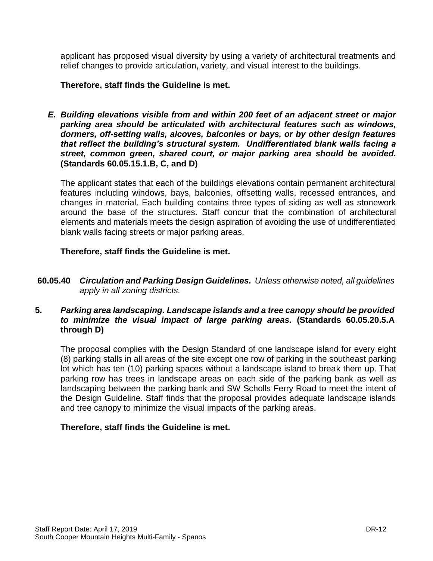applicant has proposed visual diversity by using a variety of architectural treatments and relief changes to provide articulation, variety, and visual interest to the buildings.

#### **Therefore, staff finds the Guideline is met.**

*E***.** *Building elevations visible from and within 200 feet of an adjacent street or major parking area should be articulated with architectural features such as windows, dormers, off-setting walls, alcoves, balconies or bays, or by other design features that reflect the building's structural system. Undifferentiated blank walls facing a street, common green, shared court, or major parking area should be avoided.*  **(Standards 60.05.15.1.B, C, and D)**

The applicant states that each of the buildings elevations contain permanent architectural features including windows, bays, balconies, offsetting walls, recessed entrances, and changes in material. Each building contains three types of siding as well as stonework around the base of the structures. Staff concur that the combination of architectural elements and materials meets the design aspiration of avoiding the use of undifferentiated blank walls facing streets or major parking areas.

#### **Therefore, staff finds the Guideline is met.**

**60.05.40** *Circulation and Parking Design Guidelines. Unless otherwise noted, all guidelines apply in all zoning districts.*

### **5.** *Parking area landscaping. Landscape islands and a tree canopy should be provided to minimize the visual impact of large parking areas.* **(Standards 60.05.20.5.A through D)**

The proposal complies with the Design Standard of one landscape island for every eight (8) parking stalls in all areas of the site except one row of parking in the southeast parking lot which has ten (10) parking spaces without a landscape island to break them up. That parking row has trees in landscape areas on each side of the parking bank as well as landscaping between the parking bank and SW Scholls Ferry Road to meet the intent of the Design Guideline. Staff finds that the proposal provides adequate landscape islands and tree canopy to minimize the visual impacts of the parking areas.

#### **Therefore, staff finds the Guideline is met.**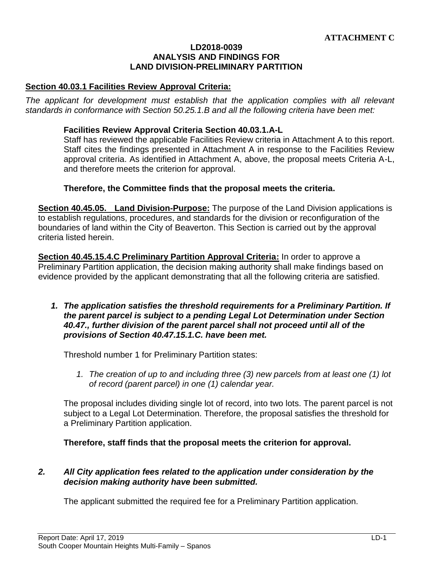#### **LD2018-0039 ANALYSIS AND FINDINGS FOR LAND DIVISION-PRELIMINARY PARTITION**

#### **Section 40.03.1 Facilities Review Approval Criteria:**

The applicant for development must establish that the application complies with all relevant *standards in conformance with Section 50.25.1.B and all the following criteria have been met:* 

#### **Facilities Review Approval Criteria Section 40.03.1.A-L**

Staff has reviewed the applicable Facilities Review criteria in Attachment A to this report. Staff cites the findings presented in Attachment A in response to the Facilities Review approval criteria. As identified in Attachment A, above, the proposal meets Criteria A-L, and therefore meets the criterion for approval.

#### **Therefore, the Committee finds that the proposal meets the criteria.**

**Section 40.45.05. Land Division-Purpose:** The purpose of the Land Division applications is to establish regulations, procedures, and standards for the division or reconfiguration of the boundaries of land within the City of Beaverton. This Section is carried out by the approval criteria listed herein.

**Section 40.45.15.4.C Preliminary Partition Approval Criteria:** In order to approve a Preliminary Partition application, the decision making authority shall make findings based on evidence provided by the applicant demonstrating that all the following criteria are satisfied.

*1. The application satisfies the threshold requirements for a Preliminary Partition. If the parent parcel is subject to a pending Legal Lot Determination under Section 40.47., further division of the parent parcel shall not proceed until all of the provisions of Section 40.47.15.1.C. have been met.*

Threshold number 1 for Preliminary Partition states:

*1. The creation of up to and including three (3) new parcels from at least one (1) lot of record (parent parcel) in one (1) calendar year.*

The proposal includes dividing single lot of record, into two lots. The parent parcel is not subject to a Legal Lot Determination. Therefore, the proposal satisfies the threshold for a Preliminary Partition application.

**Therefore, staff finds that the proposal meets the criterion for approval.**

#### *2. All City application fees related to the application under consideration by the decision making authority have been submitted.*

The applicant submitted the required fee for a Preliminary Partition application.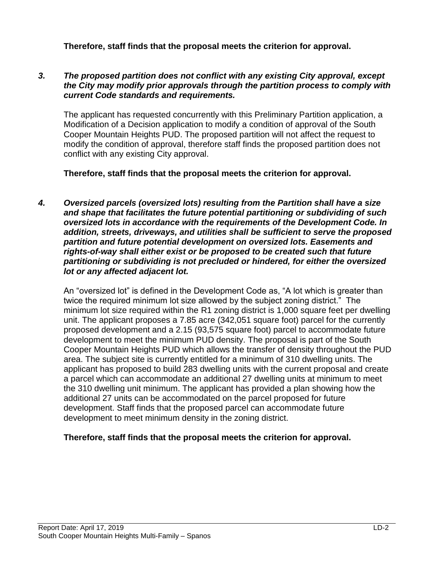**Therefore, staff finds that the proposal meets the criterion for approval.**

#### *3. The proposed partition does not conflict with any existing City approval, except the City may modify prior approvals through the partition process to comply with current Code standards and requirements.*

The applicant has requested concurrently with this Preliminary Partition application, a Modification of a Decision application to modify a condition of approval of the South Cooper Mountain Heights PUD. The proposed partition will not affect the request to modify the condition of approval, therefore staff finds the proposed partition does not conflict with any existing City approval.

**Therefore, staff finds that the proposal meets the criterion for approval.**

*4. Oversized parcels (oversized lots) resulting from the Partition shall have a size and shape that facilitates the future potential partitioning or subdividing of such oversized lots in accordance with the requirements of the Development Code. In addition, streets, driveways, and utilities shall be sufficient to serve the proposed partition and future potential development on oversized lots. Easements and rights-of-way shall either exist or be proposed to be created such that future partitioning or subdividing is not precluded or hindered, for either the oversized lot or any affected adjacent lot.*

An "oversized lot" is defined in the Development Code as, "A lot which is greater than twice the required minimum lot size allowed by the subject zoning district." The minimum lot size required within the R1 zoning district is 1,000 square feet per dwelling unit. The applicant proposes a 7.85 acre (342,051 square foot) parcel for the currently proposed development and a 2.15 (93,575 square foot) parcel to accommodate future development to meet the minimum PUD density. The proposal is part of the South Cooper Mountain Heights PUD which allows the transfer of density throughout the PUD area. The subject site is currently entitled for a minimum of 310 dwelling units. The applicant has proposed to build 283 dwelling units with the current proposal and create a parcel which can accommodate an additional 27 dwelling units at minimum to meet the 310 dwelling unit minimum. The applicant has provided a plan showing how the additional 27 units can be accommodated on the parcel proposed for future development. Staff finds that the proposed parcel can accommodate future development to meet minimum density in the zoning district.

## **Therefore, staff finds that the proposal meets the criterion for approval.**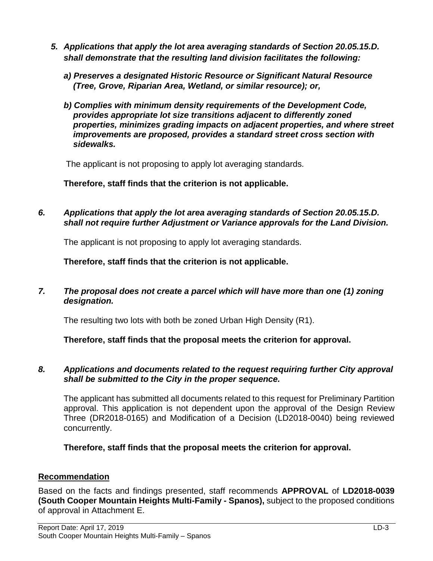- *5. Applications that apply the lot area averaging standards of Section 20.05.15.D. shall demonstrate that the resulting land division facilitates the following:*
	- *a) Preserves a designated Historic Resource or Significant Natural Resource (Tree, Grove, Riparian Area, Wetland, or similar resource); or,*
	- *b) Complies with minimum density requirements of the Development Code, provides appropriate lot size transitions adjacent to differently zoned properties, minimizes grading impacts on adjacent properties, and where street improvements are proposed, provides a standard street cross section with sidewalks.*

The applicant is not proposing to apply lot averaging standards.

**Therefore, staff finds that the criterion is not applicable.**

*6. Applications that apply the lot area averaging standards of Section 20.05.15.D. shall not require further Adjustment or Variance approvals for the Land Division.*

The applicant is not proposing to apply lot averaging standards.

**Therefore, staff finds that the criterion is not applicable.**

*7. The proposal does not create a parcel which will have more than one (1) zoning designation.*

The resulting two lots with both be zoned Urban High Density (R1).

**Therefore, staff finds that the proposal meets the criterion for approval.**

## *8. Applications and documents related to the request requiring further City approval shall be submitted to the City in the proper sequence.*

The applicant has submitted all documents related to this request for Preliminary Partition approval. This application is not dependent upon the approval of the Design Review Three (DR2018-0165) and Modification of a Decision (LD2018-0040) being reviewed concurrently.

**Therefore, staff finds that the proposal meets the criterion for approval.**

# **Recommendation**

Based on the facts and findings presented, staff recommends **APPROVAL** of **LD2018-0039 (South Cooper Mountain Heights Multi-Family - Spanos),** subject to the proposed conditions of approval in Attachment E.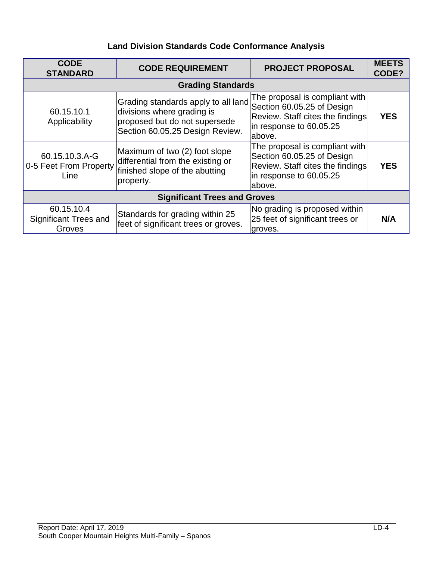# **Land Division Standards Code Conformance Analysis**

| <b>CODE</b><br><b>STANDARD</b>                   | <b>CODE REQUIREMENT</b>                                                                                                               | <b>PROJECT PROPOSAL</b>                                                                                                               | <b>MEETS</b><br>CODE? |  |  |
|--------------------------------------------------|---------------------------------------------------------------------------------------------------------------------------------------|---------------------------------------------------------------------------------------------------------------------------------------|-----------------------|--|--|
| <b>Grading Standards</b>                         |                                                                                                                                       |                                                                                                                                       |                       |  |  |
| 60.15.10.1<br>Applicability                      | Grading standards apply to all land<br>divisions where grading is<br>proposed but do not supersede<br>Section 60.05.25 Design Review. | The proposal is compliant with<br>Section 60.05.25 of Design<br>Review. Staff cites the findings<br>in response to 60.05.25<br>above. | <b>YES</b>            |  |  |
| 60.15.10.3.A-G<br>0-5 Feet From Property<br>Line | Maximum of two (2) foot slope<br>differential from the existing or<br>finished slope of the abutting<br>property.                     | The proposal is compliant with<br>Section 60.05.25 of Design<br>Review. Staff cites the findings<br>in response to 60.05.25<br>above. | <b>YES</b>            |  |  |
| <b>Significant Trees and Groves</b>              |                                                                                                                                       |                                                                                                                                       |                       |  |  |
| 60.15.10.4<br>Significant Trees and<br>Groves    | Standards for grading within 25<br>feet of significant trees or groves.                                                               | No grading is proposed within<br>25 feet of significant trees or<br>groves.                                                           | N/A                   |  |  |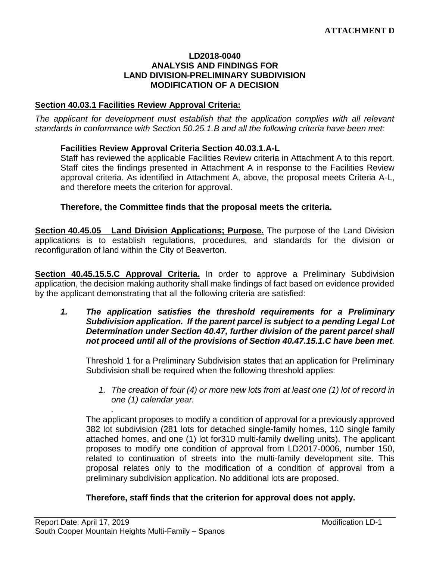#### **LD2018-0040 ANALYSIS AND FINDINGS FOR LAND DIVISION-PRELIMINARY SUBDIVISION MODIFICATION OF A DECISION**

#### **Section 40.03.1 Facilities Review Approval Criteria:**

*The applicant for development must establish that the application complies with all relevant standards in conformance with Section 50.25.1.B and all the following criteria have been met:* 

#### **Facilities Review Approval Criteria Section 40.03.1.A-L**

Staff has reviewed the applicable Facilities Review criteria in Attachment A to this report. Staff cites the findings presented in Attachment A in response to the Facilities Review approval criteria. As identified in Attachment A, above, the proposal meets Criteria A-L, and therefore meets the criterion for approval.

#### **Therefore, the Committee finds that the proposal meets the criteria.**

**Section 40.45.05 Land Division Applications; Purpose.** The purpose of the Land Division applications is to establish regulations, procedures, and standards for the division or reconfiguration of land within the City of Beaverton.

**Section 40.45.15.5.C Approval Criteria.** In order to approve a Preliminary Subdivision application, the decision making authority shall make findings of fact based on evidence provided by the applicant demonstrating that all the following criteria are satisfied:

#### *1. The application satisfies the threshold requirements for a Preliminary Subdivision application. If the parent parcel is subject to a pending Legal Lot Determination under Section 40.47, further division of the parent parcel shall not proceed until all of the provisions of Section 40.47.15.1.C have been met.*

Threshold 1 for a Preliminary Subdivision states that an application for Preliminary Subdivision shall be required when the following threshold applies:

*1. The creation of four (4) or more new lots from at least one (1) lot of record in one (1) calendar year.*

The applicant proposes to modify a condition of approval for a previously approved 382 lot subdivision (281 lots for detached single-family homes, 110 single family attached homes, and one (1) lot for310 multi-family dwelling units). The applicant proposes to modify one condition of approval from LD2017-0006, number 150, related to continuation of streets into the multi-family development site. This proposal relates only to the modification of a condition of approval from a preliminary subdivision application. No additional lots are proposed.

#### **Therefore, staff finds that the criterion for approval does not apply.**

*.*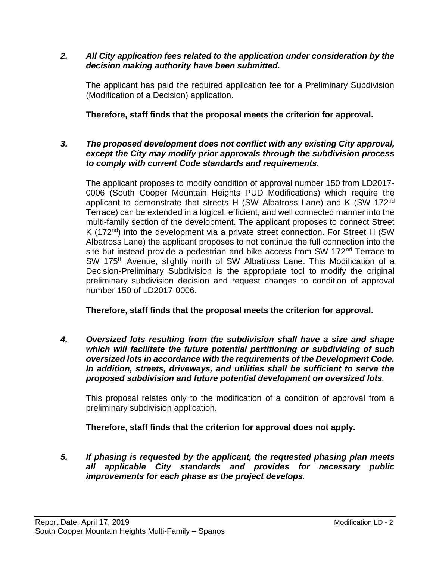#### *2. All City application fees related to the application under consideration by the decision making authority have been submitted.*

The applicant has paid the required application fee for a Preliminary Subdivision (Modification of a Decision) application.

## **Therefore, staff finds that the proposal meets the criterion for approval.**

#### *3. The proposed development does not conflict with any existing City approval, except the City may modify prior approvals through the subdivision process to comply with current Code standards and requirements.*

The applicant proposes to modify condition of approval number 150 from LD2017- 0006 (South Cooper Mountain Heights PUD Modifications) which require the applicant to demonstrate that streets H (SW Albatross Lane) and K (SW 172nd Terrace) can be extended in a logical, efficient, and well connected manner into the multi-family section of the development. The applicant proposes to connect Street K (172<sup>nd</sup>) into the development via a private street connection. For Street H (SW Albatross Lane) the applicant proposes to not continue the full connection into the site but instead provide a pedestrian and bike access from SW 172<sup>nd</sup> Terrace to SW 175<sup>th</sup> Avenue, slightly north of SW Albatross Lane. This Modification of a Decision-Preliminary Subdivision is the appropriate tool to modify the original preliminary subdivision decision and request changes to condition of approval number 150 of LD2017-0006.

**Therefore, staff finds that the proposal meets the criterion for approval.**

*4. Oversized lots resulting from the subdivision shall have a size and shape which will facilitate the future potential partitioning or subdividing of such oversized lots in accordance with the requirements of the Development Code. In addition, streets, driveways, and utilities shall be sufficient to serve the proposed subdivision and future potential development on oversized lots.*

This proposal relates only to the modification of a condition of approval from a preliminary subdivision application.

**Therefore, staff finds that the criterion for approval does not apply.**

*5. If phasing is requested by the applicant, the requested phasing plan meets all applicable City standards and provides for necessary public improvements for each phase as the project develops.*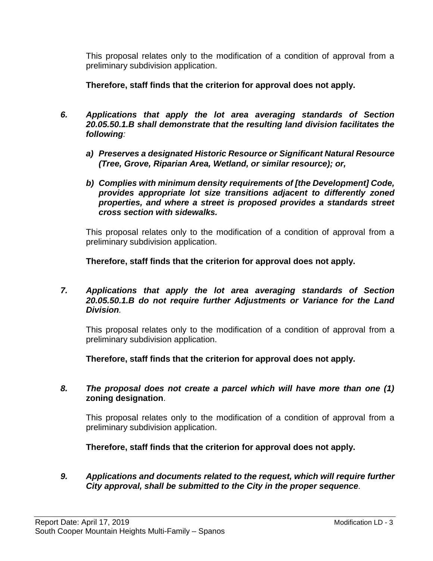This proposal relates only to the modification of a condition of approval from a preliminary subdivision application.

**Therefore, staff finds that the criterion for approval does not apply.**

- *6. Applications that apply the lot area averaging standards of Section 20.05.50.1.B shall demonstrate that the resulting land division facilitates the following:*
	- *a) Preserves a designated Historic Resource or Significant Natural Resource (Tree, Grove, Riparian Area, Wetland, or similar resource); or,*
	- *b) Complies with minimum density requirements of [the Development] Code, provides appropriate lot size transitions adjacent to differently zoned properties, and where a street is proposed provides a standards street cross section with sidewalks.*

This proposal relates only to the modification of a condition of approval from a preliminary subdivision application.

**Therefore, staff finds that the criterion for approval does not apply.**

#### *7. Applications that apply the lot area averaging standards of Section 20.05.50.1.B do not require further Adjustments or Variance for the Land Division.*

This proposal relates only to the modification of a condition of approval from a preliminary subdivision application.

**Therefore, staff finds that the criterion for approval does not apply.**

#### *8. The proposal does not create a parcel which will have more than one (1)*  **zoning designation**.

This proposal relates only to the modification of a condition of approval from a preliminary subdivision application.

**Therefore, staff finds that the criterion for approval does not apply.**

*9. Applications and documents related to the request, which will require further City approval, shall be submitted to the City in the proper sequence.*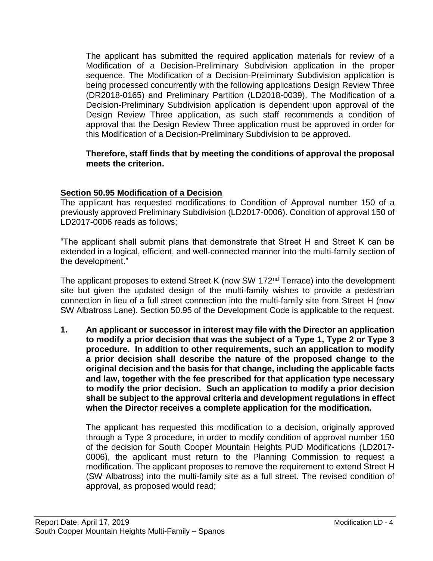The applicant has submitted the required application materials for review of a Modification of a Decision-Preliminary Subdivision application in the proper sequence. The Modification of a Decision-Preliminary Subdivision application is being processed concurrently with the following applications Design Review Three (DR2018-0165) and Preliminary Partition (LD2018-0039). The Modification of a Decision-Preliminary Subdivision application is dependent upon approval of the Design Review Three application, as such staff recommends a condition of approval that the Design Review Three application must be approved in order for this Modification of a Decision-Preliminary Subdivision to be approved.

#### **Therefore, staff finds that by meeting the conditions of approval the proposal meets the criterion.**

## **Section 50.95 Modification of a Decision**

The applicant has requested modifications to Condition of Approval number 150 of a previously approved Preliminary Subdivision (LD2017-0006). Condition of approval 150 of LD2017-0006 reads as follows;

"The applicant shall submit plans that demonstrate that Street H and Street K can be extended in a logical, efficient, and well-connected manner into the multi-family section of the development."

The applicant proposes to extend Street K (now SW 172<sup>nd</sup> Terrace) into the development site but given the updated design of the multi-family wishes to provide a pedestrian connection in lieu of a full street connection into the multi-family site from Street H (now SW Albatross Lane). Section 50.95 of the Development Code is applicable to the request.

**1. An applicant or successor in interest may file with the Director an application to modify a prior decision that was the subject of a Type 1, Type 2 or Type 3 procedure. In addition to other requirements, such an application to modify a prior decision shall describe the nature of the proposed change to the original decision and the basis for that change, including the applicable facts and law, together with the fee prescribed for that application type necessary to modify the prior decision. Such an application to modify a prior decision shall be subject to the approval criteria and development regulations in effect when the Director receives a complete application for the modification.**

The applicant has requested this modification to a decision, originally approved through a Type 3 procedure, in order to modify condition of approval number 150 of the decision for South Cooper Mountain Heights PUD Modifications (LD2017- 0006), the applicant must return to the Planning Commission to request a modification. The applicant proposes to remove the requirement to extend Street H (SW Albatross) into the multi-family site as a full street. The revised condition of approval, as proposed would read;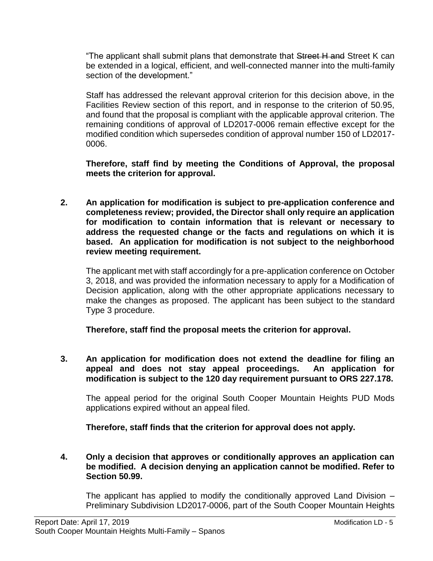"The applicant shall submit plans that demonstrate that Street H and Street K can be extended in a logical, efficient, and well-connected manner into the multi-family section of the development."

Staff has addressed the relevant approval criterion for this decision above, in the Facilities Review section of this report, and in response to the criterion of 50.95, and found that the proposal is compliant with the applicable approval criterion. The remaining conditions of approval of LD2017-0006 remain effective except for the modified condition which supersedes condition of approval number 150 of LD2017- 0006.

**Therefore, staff find by meeting the Conditions of Approval, the proposal meets the criterion for approval.**

**2. An application for modification is subject to pre-application conference and completeness review; provided, the Director shall only require an application for modification to contain information that is relevant or necessary to address the requested change or the facts and regulations on which it is based. An application for modification is not subject to the neighborhood review meeting requirement.**

The applicant met with staff accordingly for a pre-application conference on October 3, 2018, and was provided the information necessary to apply for a Modification of Decision application, along with the other appropriate applications necessary to make the changes as proposed. The applicant has been subject to the standard Type 3 procedure.

**Therefore, staff find the proposal meets the criterion for approval.**

**3. An application for modification does not extend the deadline for filing an appeal and does not stay appeal proceedings. An application for modification is subject to the 120 day requirement pursuant to ORS 227.178.**

The appeal period for the original South Cooper Mountain Heights PUD Mods applications expired without an appeal filed.

**Therefore, staff finds that the criterion for approval does not apply.**

**4. Only a decision that approves or conditionally approves an application can be modified. A decision denying an application cannot be modified. Refer to Section 50.99.**

The applicant has applied to modify the conditionally approved Land Division – Preliminary Subdivision LD2017-0006, part of the South Cooper Mountain Heights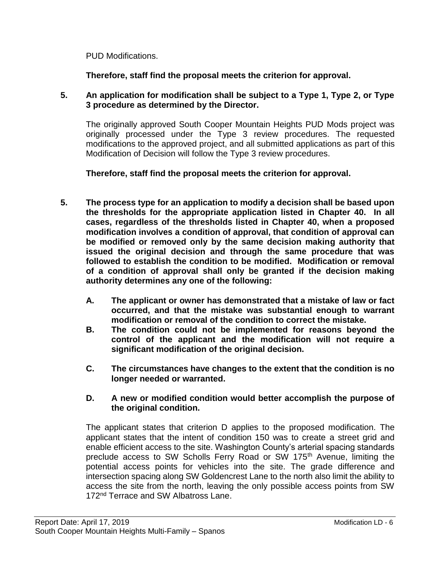PUD Modifications.

**Therefore, staff find the proposal meets the criterion for approval.**

**5. An application for modification shall be subject to a Type 1, Type 2, or Type 3 procedure as determined by the Director.**

The originally approved South Cooper Mountain Heights PUD Mods project was originally processed under the Type 3 review procedures. The requested modifications to the approved project, and all submitted applications as part of this Modification of Decision will follow the Type 3 review procedures.

**Therefore, staff find the proposal meets the criterion for approval.**

- **5. The process type for an application to modify a decision shall be based upon the thresholds for the appropriate application listed in Chapter 40. In all cases, regardless of the thresholds listed in Chapter 40, when a proposed modification involves a condition of approval, that condition of approval can be modified or removed only by the same decision making authority that issued the original decision and through the same procedure that was followed to establish the condition to be modified. Modification or removal of a condition of approval shall only be granted if the decision making authority determines any one of the following:**
	- **A. The applicant or owner has demonstrated that a mistake of law or fact occurred, and that the mistake was substantial enough to warrant modification or removal of the condition to correct the mistake.**
	- **B. The condition could not be implemented for reasons beyond the control of the applicant and the modification will not require a significant modification of the original decision.**
	- **C. The circumstances have changes to the extent that the condition is no longer needed or warranted.**

## **D. A new or modified condition would better accomplish the purpose of the original condition.**

The applicant states that criterion D applies to the proposed modification. The applicant states that the intent of condition 150 was to create a street grid and enable efficient access to the site. Washington County's arterial spacing standards preclude access to SW Scholls Ferry Road or SW 175<sup>th</sup> Avenue, limiting the potential access points for vehicles into the site. The grade difference and intersection spacing along SW Goldencrest Lane to the north also limit the ability to access the site from the north, leaving the only possible access points from SW 172<sup>nd</sup> Terrace and SW Albatross Lane.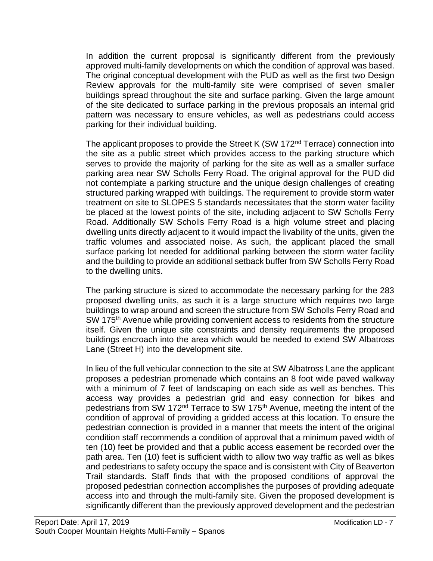In addition the current proposal is significantly different from the previously approved multi-family developments on which the condition of approval was based. The original conceptual development with the PUD as well as the first two Design Review approvals for the multi-family site were comprised of seven smaller buildings spread throughout the site and surface parking. Given the large amount of the site dedicated to surface parking in the previous proposals an internal grid pattern was necessary to ensure vehicles, as well as pedestrians could access parking for their individual building.

The applicant proposes to provide the Street K (SW 172<sup>nd</sup> Terrace) connection into the site as a public street which provides access to the parking structure which serves to provide the majority of parking for the site as well as a smaller surface parking area near SW Scholls Ferry Road. The original approval for the PUD did not contemplate a parking structure and the unique design challenges of creating structured parking wrapped with buildings. The requirement to provide storm water treatment on site to SLOPES 5 standards necessitates that the storm water facility be placed at the lowest points of the site, including adjacent to SW Scholls Ferry Road. Additionally SW Scholls Ferry Road is a high volume street and placing dwelling units directly adjacent to it would impact the livability of the units, given the traffic volumes and associated noise. As such, the applicant placed the small surface parking lot needed for additional parking between the storm water facility and the building to provide an additional setback buffer from SW Scholls Ferry Road to the dwelling units.

The parking structure is sized to accommodate the necessary parking for the 283 proposed dwelling units, as such it is a large structure which requires two large buildings to wrap around and screen the structure from SW Scholls Ferry Road and SW 175<sup>th</sup> Avenue while providing convenient access to residents from the structure itself. Given the unique site constraints and density requirements the proposed buildings encroach into the area which would be needed to extend SW Albatross Lane (Street H) into the development site.

In lieu of the full vehicular connection to the site at SW Albatross Lane the applicant proposes a pedestrian promenade which contains an 8 foot wide paved walkway with a minimum of 7 feet of landscaping on each side as well as benches. This access way provides a pedestrian grid and easy connection for bikes and pedestrians from SW 172<sup>nd</sup> Terrace to SW 175<sup>th</sup> Avenue, meeting the intent of the condition of approval of providing a gridded access at this location. To ensure the pedestrian connection is provided in a manner that meets the intent of the original condition staff recommends a condition of approval that a minimum paved width of ten (10) feet be provided and that a public access easement be recorded over the path area. Ten (10) feet is sufficient width to allow two way traffic as well as bikes and pedestrians to safety occupy the space and is consistent with City of Beaverton Trail standards. Staff finds that with the proposed conditions of approval the proposed pedestrian connection accomplishes the purposes of providing adequate access into and through the multi-family site. Given the proposed development is significantly different than the previously approved development and the pedestrian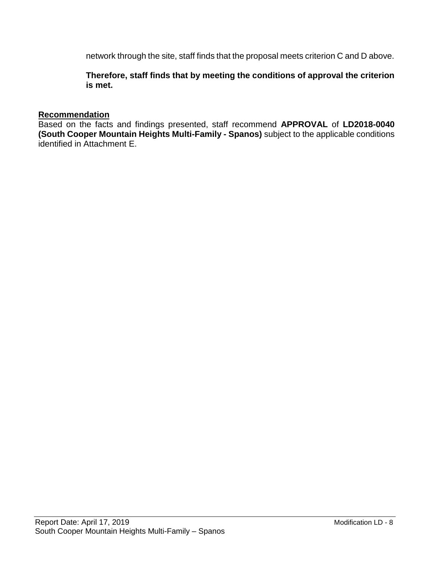network through the site, staff finds that the proposal meets criterion C and D above.

**Therefore, staff finds that by meeting the conditions of approval the criterion is met.**

#### **Recommendation**

Based on the facts and findings presented, staff recommend **APPROVAL** of **LD2018-0040 (South Cooper Mountain Heights Multi-Family - Spanos)** subject to the applicable conditions identified in Attachment E.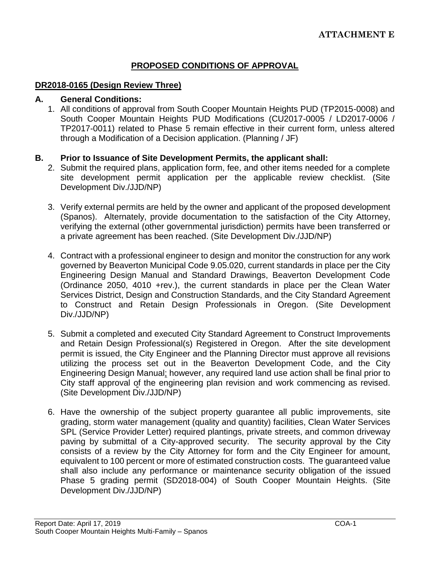## **PROPOSED CONDITIONS OF APPROVAL**

#### **DR2018-0165 (Design Review Three)**

#### **A. General Conditions:**

1. All conditions of approval from South Cooper Mountain Heights PUD (TP2015-0008) and South Cooper Mountain Heights PUD Modifications (CU2017-0005 / LD2017-0006 / TP2017-0011) related to Phase 5 remain effective in their current form, unless altered through a Modification of a Decision application. (Planning / JF)

#### **B. Prior to Issuance of Site Development Permits, the applicant shall:**

- 2. Submit the required plans, application form, fee, and other items needed for a complete site development permit application per the applicable review checklist. (Site Development Div./JJD/NP)
- 3. Verify external permits are held by the owner and applicant of the proposed development (Spanos). Alternately, provide documentation to the satisfaction of the City Attorney, verifying the external (other governmental jurisdiction) permits have been transferred or a private agreement has been reached. (Site Development Div./JJD/NP)
- 4. Contract with a professional engineer to design and monitor the construction for any work governed by Beaverton Municipal Code 9.05.020, current standards in place per the City Engineering Design Manual and Standard Drawings, Beaverton Development Code (Ordinance 2050, 4010 +rev.), the current standards in place per the Clean Water Services District, Design and Construction Standards, and the City Standard Agreement to Construct and Retain Design Professionals in Oregon. (Site Development Div./JJD/NP)
- 5. Submit a completed and executed City Standard Agreement to Construct Improvements and Retain Design Professional(s) Registered in Oregon. After the site development permit is issued, the City Engineer and the Planning Director must approve all revisions utilizing the process set out in the Beaverton Development Code, and the City Engineering Design Manual; however, any required land use action shall be final prior to City staff approval of the engineering plan revision and work commencing as revised. (Site Development Div./JJD/NP)
- 6. Have the ownership of the subject property guarantee all public improvements, site grading, storm water management (quality and quantity) facilities, Clean Water Services SPL (Service Provider Letter) required plantings, private streets, and common driveway paving by submittal of a City-approved security. The security approval by the City consists of a review by the City Attorney for form and the City Engineer for amount, equivalent to 100 percent or more of estimated construction costs. The guaranteed value shall also include any performance or maintenance security obligation of the issued Phase 5 grading permit (SD2018-004) of South Cooper Mountain Heights. (Site Development Div./JJD/NP)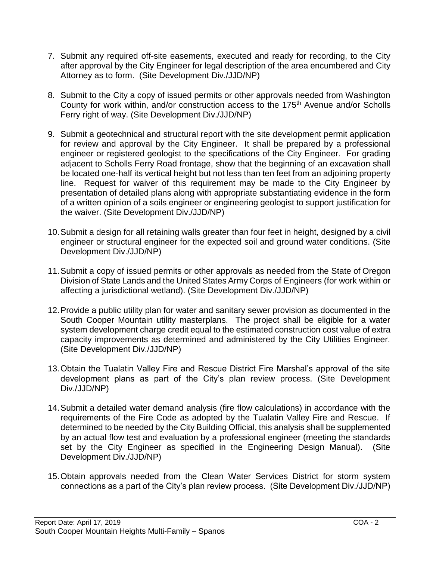- 7. Submit any required off-site easements, executed and ready for recording, to the City after approval by the City Engineer for legal description of the area encumbered and City Attorney as to form. (Site Development Div./JJD/NP)
- 8. Submit to the City a copy of issued permits or other approvals needed from Washington County for work within, and/or construction access to the 175<sup>th</sup> Avenue and/or Scholls Ferry right of way. (Site Development Div./JJD/NP)
- 9. Submit a geotechnical and structural report with the site development permit application for review and approval by the City Engineer. It shall be prepared by a professional engineer or registered geologist to the specifications of the City Engineer. For grading adjacent to Scholls Ferry Road frontage, show that the beginning of an excavation shall be located one-half its vertical height but not less than ten feet from an adjoining property line. Request for waiver of this requirement may be made to the City Engineer by presentation of detailed plans along with appropriate substantiating evidence in the form of a written opinion of a soils engineer or engineering geologist to support justification for the waiver. (Site Development Div./JJD/NP)
- 10.Submit a design for all retaining walls greater than four feet in height, designed by a civil engineer or structural engineer for the expected soil and ground water conditions. (Site Development Div./JJD/NP)
- 11.Submit a copy of issued permits or other approvals as needed from the State of Oregon Division of State Lands and the United States Army Corps of Engineers (for work within or affecting a jurisdictional wetland). (Site Development Div./JJD/NP)
- 12.Provide a public utility plan for water and sanitary sewer provision as documented in the South Cooper Mountain utility masterplans. The project shall be eligible for a water system development charge credit equal to the estimated construction cost value of extra capacity improvements as determined and administered by the City Utilities Engineer. (Site Development Div./JJD/NP)
- 13.Obtain the Tualatin Valley Fire and Rescue District Fire Marshal's approval of the site development plans as part of the City's plan review process. (Site Development Div./JJD/NP)
- 14.Submit a detailed water demand analysis (fire flow calculations) in accordance with the requirements of the Fire Code as adopted by the Tualatin Valley Fire and Rescue. If determined to be needed by the City Building Official, this analysis shall be supplemented by an actual flow test and evaluation by a professional engineer (meeting the standards set by the City Engineer as specified in the Engineering Design Manual). (Site Development Div./JJD/NP)
- 15.Obtain approvals needed from the Clean Water Services District for storm system connections as a part of the City's plan review process. (Site Development Div./JJD/NP)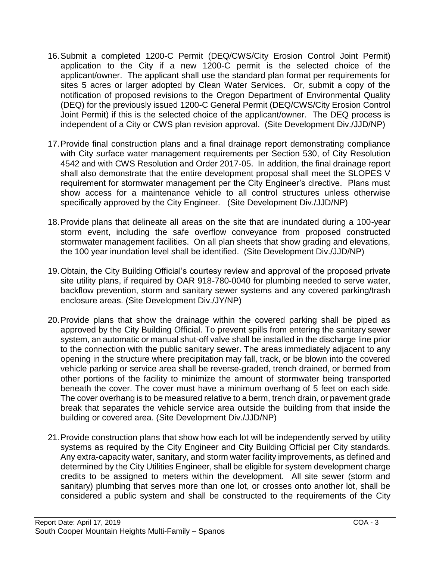- 16.Submit a completed 1200-C Permit (DEQ/CWS/City Erosion Control Joint Permit) application to the City if a new 1200-C permit is the selected choice of the applicant/owner. The applicant shall use the standard plan format per requirements for sites 5 acres or larger adopted by Clean Water Services. Or, submit a copy of the notification of proposed revisions to the Oregon Department of Environmental Quality (DEQ) for the previously issued 1200-C General Permit (DEQ/CWS/City Erosion Control Joint Permit) if this is the selected choice of the applicant/owner. The DEQ process is independent of a City or CWS plan revision approval. (Site Development Div./JJD/NP)
- 17.Provide final construction plans and a final drainage report demonstrating compliance with City surface water management requirements per Section 530, of City Resolution 4542 and with CWS Resolution and Order 2017-05. In addition, the final drainage report shall also demonstrate that the entire development proposal shall meet the SLOPES V requirement for stormwater management per the City Engineer's directive. Plans must show access for a maintenance vehicle to all control structures unless otherwise specifically approved by the City Engineer. (Site Development Div./JJD/NP)
- 18.Provide plans that delineate all areas on the site that are inundated during a 100-year storm event, including the safe overflow conveyance from proposed constructed stormwater management facilities. On all plan sheets that show grading and elevations, the 100 year inundation level shall be identified. (Site Development Div./JJD/NP)
- 19.Obtain, the City Building Official's courtesy review and approval of the proposed private site utility plans, if required by OAR 918-780-0040 for plumbing needed to serve water, backflow prevention, storm and sanitary sewer systems and any covered parking/trash enclosure areas. (Site Development Div./JY/NP)
- 20.Provide plans that show the drainage within the covered parking shall be piped as approved by the City Building Official. To prevent spills from entering the sanitary sewer system, an automatic or manual shut-off valve shall be installed in the discharge line prior to the connection with the public sanitary sewer. The areas immediately adjacent to any opening in the structure where precipitation may fall, track, or be blown into the covered vehicle parking or service area shall be reverse-graded, trench drained, or bermed from other portions of the facility to minimize the amount of stormwater being transported beneath the cover. The cover must have a minimum overhang of 5 feet on each side. The cover overhang is to be measured relative to a berm, trench drain, or pavement grade break that separates the vehicle service area outside the building from that inside the building or covered area. (Site Development Div./JJD/NP)
- 21.Provide construction plans that show how each lot will be independently served by utility systems as required by the City Engineer and City Building Official per City standards. Any extra-capacity water, sanitary, and storm water facility improvements, as defined and determined by the City Utilities Engineer, shall be eligible for system development charge credits to be assigned to meters within the development. All site sewer (storm and sanitary) plumbing that serves more than one lot, or crosses onto another lot, shall be considered a public system and shall be constructed to the requirements of the City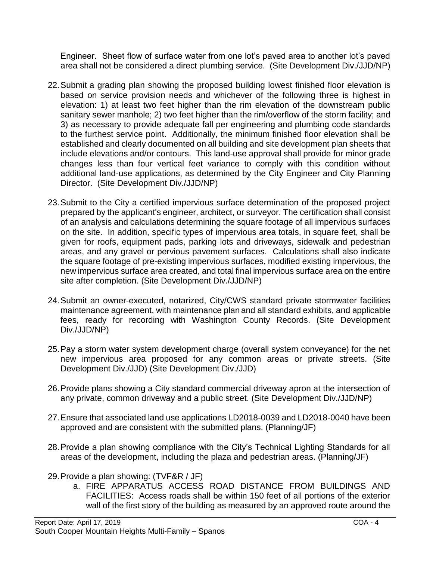Engineer. Sheet flow of surface water from one lot's paved area to another lot's paved area shall not be considered a direct plumbing service. (Site Development Div./JJD/NP)

- 22.Submit a grading plan showing the proposed building lowest finished floor elevation is based on service provision needs and whichever of the following three is highest in elevation: 1) at least two feet higher than the rim elevation of the downstream public sanitary sewer manhole; 2) two feet higher than the rim/overflow of the storm facility; and 3) as necessary to provide adequate fall per engineering and plumbing code standards to the furthest service point. Additionally, the minimum finished floor elevation shall be established and clearly documented on all building and site development plan sheets that include elevations and/or contours. This land-use approval shall provide for minor grade changes less than four vertical feet variance to comply with this condition without additional land-use applications, as determined by the City Engineer and City Planning Director. (Site Development Div./JJD/NP)
- 23.Submit to the City a certified impervious surface determination of the proposed project prepared by the applicant's engineer, architect, or surveyor. The certification shall consist of an analysis and calculations determining the square footage of all impervious surfaces on the site. In addition, specific types of impervious area totals, in square feet, shall be given for roofs, equipment pads, parking lots and driveways, sidewalk and pedestrian areas, and any gravel or pervious pavement surfaces. Calculations shall also indicate the square footage of pre-existing impervious surfaces, modified existing impervious, the new impervious surface area created, and total final impervious surface area on the entire site after completion. (Site Development Div./JJD/NP)
- 24.Submit an owner-executed, notarized, City/CWS standard private stormwater facilities maintenance agreement, with maintenance plan and all standard exhibits, and applicable fees, ready for recording with Washington County Records. (Site Development Div./JJD/NP)
- 25.Pay a storm water system development charge (overall system conveyance) for the net new impervious area proposed for any common areas or private streets. (Site Development Div./JJD) (Site Development Div./JJD)
- 26.Provide plans showing a City standard commercial driveway apron at the intersection of any private, common driveway and a public street. (Site Development Div./JJD/NP)
- 27.Ensure that associated land use applications LD2018-0039 and LD2018-0040 have been approved and are consistent with the submitted plans. (Planning/JF)
- 28.Provide a plan showing compliance with the City's Technical Lighting Standards for all areas of the development, including the plaza and pedestrian areas. (Planning/JF)
- 29.Provide a plan showing: (TVF&R / JF)
	- a. FIRE APPARATUS ACCESS ROAD DISTANCE FROM BUILDINGS AND FACILITIES: Access roads shall be within 150 feet of all portions of the exterior wall of the first story of the building as measured by an approved route around the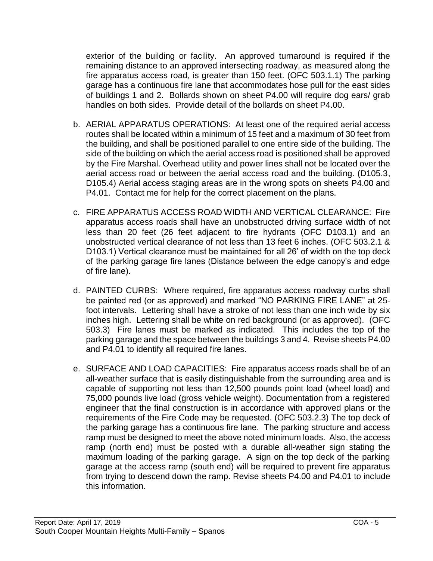exterior of the building or facility. An approved turnaround is required if the remaining distance to an approved intersecting roadway, as measured along the fire apparatus access road, is greater than 150 feet. (OFC 503.1.1) The parking garage has a continuous fire lane that accommodates hose pull for the east sides of buildings 1 and 2. Bollards shown on sheet P4.00 will require dog ears/ grab handles on both sides. Provide detail of the bollards on sheet P4.00.

- b. AERIAL APPARATUS OPERATIONS: At least one of the required aerial access routes shall be located within a minimum of 15 feet and a maximum of 30 feet from the building, and shall be positioned parallel to one entire side of the building. The side of the building on which the aerial access road is positioned shall be approved by the Fire Marshal. Overhead utility and power lines shall not be located over the aerial access road or between the aerial access road and the building. (D105.3, D105.4) Aerial access staging areas are in the wrong spots on sheets P4.00 and P4.01. Contact me for help for the correct placement on the plans.
- c. FIRE APPARATUS ACCESS ROAD WIDTH AND VERTICAL CLEARANCE: Fire apparatus access roads shall have an unobstructed driving surface width of not less than 20 feet (26 feet adjacent to fire hydrants (OFC D103.1) and an unobstructed vertical clearance of not less than 13 feet 6 inches. (OFC 503.2.1 & D103.1) Vertical clearance must be maintained for all 26' of width on the top deck of the parking garage fire lanes (Distance between the edge canopy's and edge of fire lane).
- d. PAINTED CURBS: Where required, fire apparatus access roadway curbs shall be painted red (or as approved) and marked "NO PARKING FIRE LANE" at 25 foot intervals. Lettering shall have a stroke of not less than one inch wide by six inches high. Lettering shall be white on red background (or as approved). (OFC 503.3) Fire lanes must be marked as indicated. This includes the top of the parking garage and the space between the buildings 3 and 4. Revise sheets P4.00 and P4.01 to identify all required fire lanes.
- e. SURFACE AND LOAD CAPACITIES: Fire apparatus access roads shall be of an all-weather surface that is easily distinguishable from the surrounding area and is capable of supporting not less than 12,500 pounds point load (wheel load) and 75,000 pounds live load (gross vehicle weight). Documentation from a registered engineer that the final construction is in accordance with approved plans or the requirements of the Fire Code may be requested. (OFC 503.2.3) The top deck of the parking garage has a continuous fire lane. The parking structure and access ramp must be designed to meet the above noted minimum loads. Also, the access ramp (north end) must be posted with a durable all-weather sign stating the maximum loading of the parking garage. A sign on the top deck of the parking garage at the access ramp (south end) will be required to prevent fire apparatus from trying to descend down the ramp. Revise sheets P4.00 and P4.01 to include this information.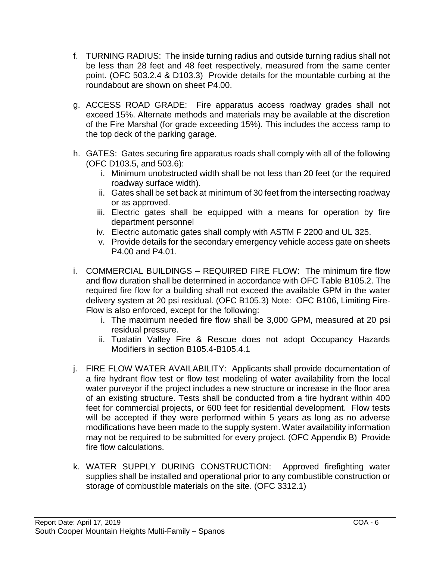- f. TURNING RADIUS: The inside turning radius and outside turning radius shall not be less than 28 feet and 48 feet respectively, measured from the same center point. (OFC 503.2.4 & D103.3) Provide details for the mountable curbing at the roundabout are shown on sheet P4.00.
- g. ACCESS ROAD GRADE: Fire apparatus access roadway grades shall not exceed 15%. Alternate methods and materials may be available at the discretion of the Fire Marshal (for grade exceeding 15%). This includes the access ramp to the top deck of the parking garage.
- h. GATES: Gates securing fire apparatus roads shall comply with all of the following (OFC D103.5, and 503.6):
	- i. Minimum unobstructed width shall be not less than 20 feet (or the required roadway surface width).
	- ii. Gates shall be set back at minimum of 30 feet from the intersecting roadway or as approved.
	- iii. Electric gates shall be equipped with a means for operation by fire department personnel
	- iv. Electric automatic gates shall comply with ASTM F 2200 and UL 325.
	- v. Provide details for the secondary emergency vehicle access gate on sheets P4.00 and P4.01.
- i. COMMERCIAL BUILDINGS REQUIRED FIRE FLOW: The minimum fire flow and flow duration shall be determined in accordance with OFC Table B105.2. The required fire flow for a building shall not exceed the available GPM in the water delivery system at 20 psi residual. (OFC B105.3) Note: OFC B106, Limiting Fire-Flow is also enforced, except for the following:
	- i. The maximum needed fire flow shall be 3,000 GPM, measured at 20 psi residual pressure.
	- ii. Tualatin Valley Fire & Rescue does not adopt Occupancy Hazards Modifiers in section B105.4-B105.4.1
- j. FIRE FLOW WATER AVAILABILITY: Applicants shall provide documentation of a fire hydrant flow test or flow test modeling of water availability from the local water purveyor if the project includes a new structure or increase in the floor area of an existing structure. Tests shall be conducted from a fire hydrant within 400 feet for commercial projects, or 600 feet for residential development. Flow tests will be accepted if they were performed within 5 years as long as no adverse modifications have been made to the supply system. Water availability information may not be required to be submitted for every project. (OFC Appendix B) Provide fire flow calculations.
- k. WATER SUPPLY DURING CONSTRUCTION: Approved firefighting water supplies shall be installed and operational prior to any combustible construction or storage of combustible materials on the site. (OFC 3312.1)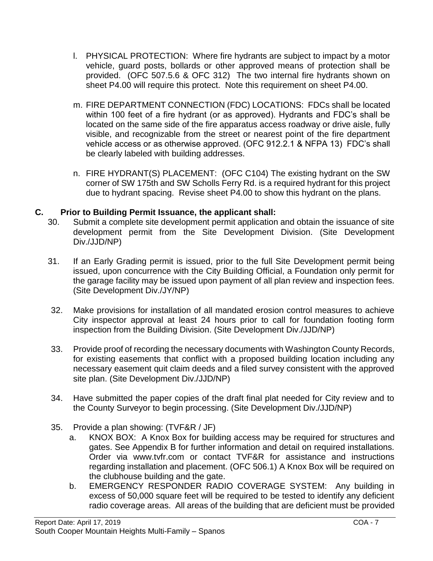- l. PHYSICAL PROTECTION: Where fire hydrants are subject to impact by a motor vehicle, guard posts, bollards or other approved means of protection shall be provided. (OFC 507.5.6 & OFC 312) The two internal fire hydrants shown on sheet P4.00 will require this protect. Note this requirement on sheet P4.00.
- m. FIRE DEPARTMENT CONNECTION (FDC) LOCATIONS: FDCs shall be located within 100 feet of a fire hydrant (or as approved). Hydrants and FDC's shall be located on the same side of the fire apparatus access roadway or drive aisle, fully visible, and recognizable from the street or nearest point of the fire department vehicle access or as otherwise approved. (OFC 912.2.1 & NFPA 13) FDC's shall be clearly labeled with building addresses.
- n. FIRE HYDRANT(S) PLACEMENT: (OFC C104) The existing hydrant on the SW corner of SW 175th and SW Scholls Ferry Rd. is a required hydrant for this project due to hydrant spacing. Revise sheet P4.00 to show this hydrant on the plans.

## **C. Prior to Building Permit Issuance, the applicant shall:**

- 30. Submit a complete site development permit application and obtain the issuance of site development permit from the Site Development Division. (Site Development Div./JJD/NP)
- 31. If an Early Grading permit is issued, prior to the full Site Development permit being issued, upon concurrence with the City Building Official, a Foundation only permit for the garage facility may be issued upon payment of all plan review and inspection fees. (Site Development Div./JY/NP)
- 32. Make provisions for installation of all mandated erosion control measures to achieve City inspector approval at least 24 hours prior to call for foundation footing form inspection from the Building Division. (Site Development Div./JJD/NP)
- 33. Provide proof of recording the necessary documents with Washington County Records, for existing easements that conflict with a proposed building location including any necessary easement quit claim deeds and a filed survey consistent with the approved site plan. (Site Development Div./JJD/NP)
- 34. Have submitted the paper copies of the draft final plat needed for City review and to the County Surveyor to begin processing. (Site Development Div./JJD/NP)
- 35. Provide a plan showing: (TVF&R / JF)
	- a. KNOX BOX: A Knox Box for building access may be required for structures and gates. See Appendix B for further information and detail on required installations. Order via www.tvfr.com or contact TVF&R for assistance and instructions regarding installation and placement. (OFC 506.1) A Knox Box will be required on the clubhouse building and the gate.
	- b. EMERGENCY RESPONDER RADIO COVERAGE SYSTEM: Any building in excess of 50,000 square feet will be required to be tested to identify any deficient radio coverage areas. All areas of the building that are deficient must be provided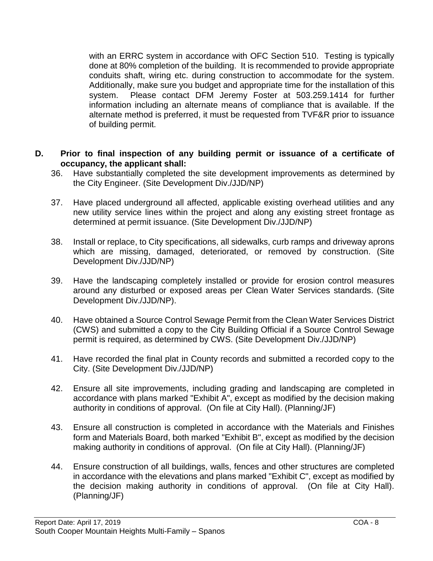with an ERRC system in accordance with OFC Section 510. Testing is typically done at 80% completion of the building. It is recommended to provide appropriate conduits shaft, wiring etc. during construction to accommodate for the system. Additionally, make sure you budget and appropriate time for the installation of this system. Please contact DFM Jeremy Foster at 503.259.1414 for further information including an alternate means of compliance that is available. If the alternate method is preferred, it must be requested from TVF&R prior to issuance of building permit.

#### **D. Prior to final inspection of any building permit or issuance of a certificate of occupancy, the applicant shall:**

- 36. Have substantially completed the site development improvements as determined by the City Engineer. (Site Development Div./JJD/NP)
- 37. Have placed underground all affected, applicable existing overhead utilities and any new utility service lines within the project and along any existing street frontage as determined at permit issuance. (Site Development Div./JJD/NP)
- 38. Install or replace, to City specifications, all sidewalks, curb ramps and driveway aprons which are missing, damaged, deteriorated, or removed by construction. (Site Development Div./JJD/NP)
- 39. Have the landscaping completely installed or provide for erosion control measures around any disturbed or exposed areas per Clean Water Services standards. (Site Development Div./JJD/NP).
- 40. Have obtained a Source Control Sewage Permit from the Clean Water Services District (CWS) and submitted a copy to the City Building Official if a Source Control Sewage permit is required, as determined by CWS. (Site Development Div./JJD/NP)
- 41. Have recorded the final plat in County records and submitted a recorded copy to the City. (Site Development Div./JJD/NP)
- 42. Ensure all site improvements, including grading and landscaping are completed in accordance with plans marked "Exhibit A", except as modified by the decision making authority in conditions of approval. (On file at City Hall). (Planning/JF)
- 43. Ensure all construction is completed in accordance with the Materials and Finishes form and Materials Board, both marked "Exhibit B", except as modified by the decision making authority in conditions of approval. (On file at City Hall). (Planning/JF)
- 44. Ensure construction of all buildings, walls, fences and other structures are completed in accordance with the elevations and plans marked "Exhibit C", except as modified by the decision making authority in conditions of approval. (On file at City Hall). (Planning/JF)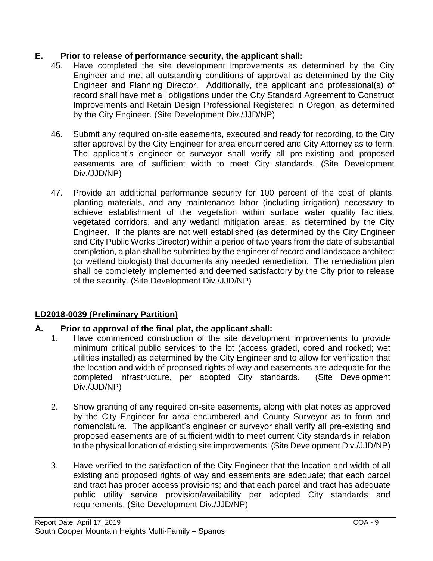## **E. Prior to release of performance security, the applicant shall:**

- 45. Have completed the site development improvements as determined by the City Engineer and met all outstanding conditions of approval as determined by the City Engineer and Planning Director. Additionally, the applicant and professional(s) of record shall have met all obligations under the City Standard Agreement to Construct Improvements and Retain Design Professional Registered in Oregon, as determined by the City Engineer. (Site Development Div./JJD/NP)
- 46. Submit any required on-site easements, executed and ready for recording, to the City after approval by the City Engineer for area encumbered and City Attorney as to form. The applicant's engineer or surveyor shall verify all pre-existing and proposed easements are of sufficient width to meet City standards. (Site Development Div./JJD/NP)
- 47. Provide an additional performance security for 100 percent of the cost of plants, planting materials, and any maintenance labor (including irrigation) necessary to achieve establishment of the vegetation within surface water quality facilities, vegetated corridors, and any wetland mitigation areas, as determined by the City Engineer. If the plants are not well established (as determined by the City Engineer and City Public Works Director) within a period of two years from the date of substantial completion, a plan shall be submitted by the engineer of record and landscape architect (or wetland biologist) that documents any needed remediation. The remediation plan shall be completely implemented and deemed satisfactory by the City prior to release of the security. (Site Development Div./JJD/NP)

## **LD2018-0039 (Preliminary Partition)**

## **A. Prior to approval of the final plat, the applicant shall:**

- 1. Have commenced construction of the site development improvements to provide minimum critical public services to the lot (access graded, cored and rocked; wet utilities installed) as determined by the City Engineer and to allow for verification that the location and width of proposed rights of way and easements are adequate for the completed infrastructure, per adopted City standards. (Site Development Div./JJD/NP)
- 2. Show granting of any required on-site easements, along with plat notes as approved by the City Engineer for area encumbered and County Surveyor as to form and nomenclature. The applicant's engineer or surveyor shall verify all pre-existing and proposed easements are of sufficient width to meet current City standards in relation to the physical location of existing site improvements. (Site Development Div./JJD/NP)
- 3. Have verified to the satisfaction of the City Engineer that the location and width of all existing and proposed rights of way and easements are adequate; that each parcel and tract has proper access provisions; and that each parcel and tract has adequate public utility service provision/availability per adopted City standards and requirements. (Site Development Div./JJD/NP)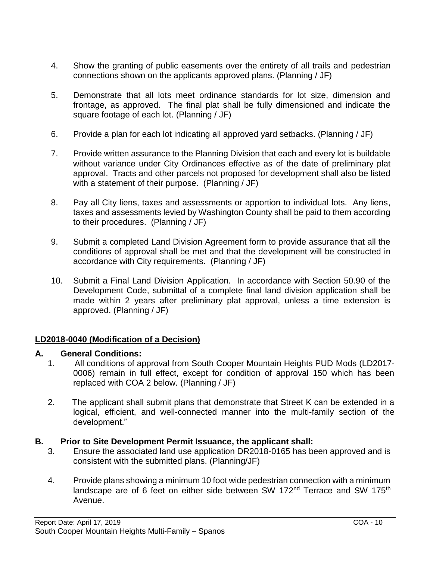- 4. Show the granting of public easements over the entirety of all trails and pedestrian connections shown on the applicants approved plans. (Planning / JF)
- 5. Demonstrate that all lots meet ordinance standards for lot size, dimension and frontage, as approved. The final plat shall be fully dimensioned and indicate the square footage of each lot. (Planning / JF)
- 6. Provide a plan for each lot indicating all approved yard setbacks. (Planning / JF)
- 7. Provide written assurance to the Planning Division that each and every lot is buildable without variance under City Ordinances effective as of the date of preliminary plat approval. Tracts and other parcels not proposed for development shall also be listed with a statement of their purpose. (Planning / JF)
- 8. Pay all City liens, taxes and assessments or apportion to individual lots. Any liens, taxes and assessments levied by Washington County shall be paid to them according to their procedures. (Planning / JF)
- 9. Submit a completed Land Division Agreement form to provide assurance that all the conditions of approval shall be met and that the development will be constructed in accordance with City requirements. (Planning / JF)
- 10. Submit a Final Land Division Application. In accordance with Section 50.90 of the Development Code, submittal of a complete final land division application shall be made within 2 years after preliminary plat approval, unless a time extension is approved. (Planning / JF)

## **LD2018-0040 (Modification of a Decision)**

## **A. General Conditions:**

- 1. All conditions of approval from South Cooper Mountain Heights PUD Mods (LD2017- 0006) remain in full effect, except for condition of approval 150 which has been replaced with COA 2 below. (Planning / JF)
- 2. The applicant shall submit plans that demonstrate that Street K can be extended in a logical, efficient, and well-connected manner into the multi-family section of the development."

## **B. Prior to Site Development Permit Issuance, the applicant shall:**

- 3. Ensure the associated land use application DR2018-0165 has been approved and is consistent with the submitted plans. (Planning/JF)
- 4. Provide plans showing a minimum 10 foot wide pedestrian connection with a minimum landscape are of 6 feet on either side between SW 172<sup>nd</sup> Terrace and SW 175<sup>th</sup> Avenue.